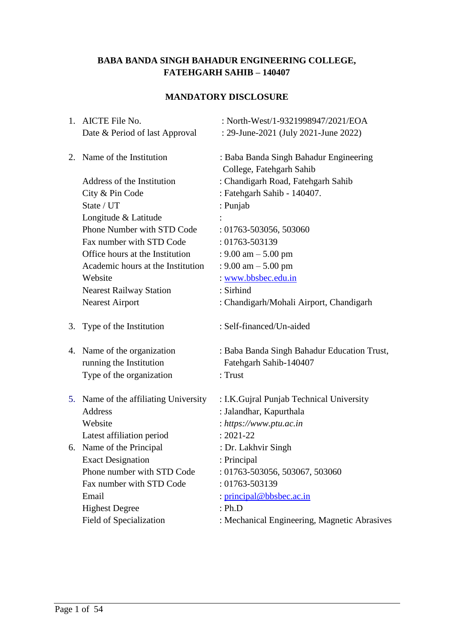# **BABA BANDA SINGH BAHADUR ENGINEERING COLLEGE, FATEHGARH SAHIB – 140407**

# **MANDATORY DISCLOSURE**

| 1. AICTE File No.                     | : North-West/1-9321998947/2021/EOA           |
|---------------------------------------|----------------------------------------------|
| Date & Period of last Approval        | : 29-June-2021 (July 2021-June 2022)         |
| 2. Name of the Institution            | : Baba Banda Singh Bahadur Engineering       |
|                                       | College, Fatehgarh Sahib                     |
| Address of the Institution            | : Chandigarh Road, Fatehgarh Sahib           |
| City & Pin Code                       | : Fatehgarh Sahib - 140407.                  |
| State / UT                            | : Punjab                                     |
| Longitude & Latitude                  |                                              |
| Phone Number with STD Code            | $: 01763 - 503056, 503060$                   |
| Fax number with STD Code              | : 01763-503139                               |
| Office hours at the Institution       | : $9.00 \text{ am} - 5.00 \text{ pm}$        |
| Academic hours at the Institution     | : $9.00 \text{ am} - 5.00 \text{ pm}$        |
| Website                               | : www.bbsbec.edu.in                          |
| <b>Nearest Railway Station</b>        | : Sirhind                                    |
| <b>Nearest Airport</b>                | : Chandigarh/Mohali Airport, Chandigarh      |
| 3. Type of the Institution            | : Self-financed/Un-aided                     |
| 4. Name of the organization           | : Baba Banda Singh Bahadur Education Trust,  |
| running the Institution               | Fatehgarh Sahib-140407                       |
| Type of the organization              | : Trust                                      |
| 5. Name of the affiliating University | : I.K. Gujral Punjab Technical University    |
| Address                               | : Jalandhar, Kapurthala                      |
| Website                               | : $https://www.ptu.ac.in$                    |
| Latest affiliation period             | $: 2021 - 22$                                |
| 6. Name of the Principal              | : Dr. Lakhvir Singh                          |
| <b>Exact Designation</b>              | : Principal                                  |
| Phone number with STD Code            | : 01763-503056, 503067, 503060               |
| Fax number with STD Code              | : 01763-503139                               |
| Email                                 | : principal@bbsbec.ac.in                     |
| <b>Highest Degree</b>                 | : Ph.D                                       |
| Field of Specialization               | : Mechanical Engineering, Magnetic Abrasives |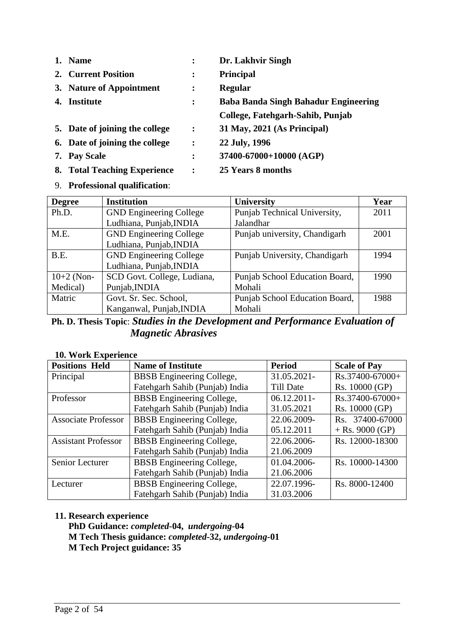| 1. | <b>Name</b>                      |                | Dr. Lakhvir Singh                           |
|----|----------------------------------|----------------|---------------------------------------------|
|    | 2. Current Position              | $\ddot{\cdot}$ | <b>Principal</b>                            |
|    | 3. Nature of Appointment         | $\ddot{\cdot}$ | <b>Regular</b>                              |
| 4. | Institute                        | $\ddot{\cdot}$ | <b>Baba Banda Singh Bahadur Engineering</b> |
|    |                                  |                | College, Fatehgarh-Sahib, Punjab            |
|    | 5. Date of joining the college   | $\ddot{\cdot}$ | 31 May, 2021 (As Principal)                 |
|    | 6. Date of joining the college   | $\ddot{\cdot}$ | 22 July, 1996                               |
| 7. | <b>Pay Scale</b>                 | $\ddot{\cdot}$ | 37400-67000+10000 (AGP)                     |
| 8. | <b>Total Teaching Experience</b> | :              | 25 Years 8 months                           |

9. **Professional qualification**:

| <b>Degree</b> | <b>Institution</b>             | <b>University</b>              | Year |
|---------------|--------------------------------|--------------------------------|------|
| Ph.D.         | <b>GND Engineering College</b> | Punjab Technical University,   | 2011 |
|               | Ludhiana, Punjab, INDIA        | Jalandhar                      |      |
| M.E.          | <b>GND Engineering College</b> | Punjab university, Chandigarh  | 2001 |
|               | Ludhiana, Punjab, INDIA        |                                |      |
| B.E.          | <b>GND Engineering College</b> | Punjab University, Chandigarh  | 1994 |
|               | Ludhiana, Punjab, INDIA        |                                |      |
| $10+2$ (Non-  | SCD Govt. College, Ludiana,    | Punjab School Education Board, | 1990 |
| Medical)      | Punjab, INDIA                  | Mohali                         |      |
| Matric        | Govt. Sr. Sec. School,         | Punjab School Education Board, | 1988 |
|               | Kanganwal, Punjab, INDIA       | Mohali                         |      |

**Ph. D. Thesis Topic**: *Studies in the Development and Performance Evaluation of Magnetic Abrasives*

#### **10. Work Experience**

| <b>Positions Held</b>      | <b>Name of Institute</b>         | <b>Period</b>    | <b>Scale of Pay</b> |
|----------------------------|----------------------------------|------------------|---------------------|
| Principal                  | <b>BBSB</b> Engineering College, | 31.05.2021-      | Rs.37400-67000+     |
|                            | Fatehgarh Sahib (Punjab) India   | <b>Till Date</b> | Rs. 10000 (GP)      |
| Professor                  | <b>BBSB</b> Engineering College, | $06.12.2011 -$   | Rs.37400-67000+     |
|                            | Fatehgarh Sahib (Punjab) India   | 31.05.2021       | Rs. 10000 (GP)      |
| <b>Associate Professor</b> | <b>BBSB</b> Engineering College, | 22.06.2009-      | Rs. 37400-67000     |
|                            | Fatehgarh Sahib (Punjab) India   | 05.12.2011       | $+$ Rs. 9000 (GP)   |
| <b>Assistant Professor</b> | <b>BBSB</b> Engineering College, | 22.06.2006-      | Rs. 12000-18300     |
|                            | Fatehgarh Sahib (Punjab) India   | 21.06.2009       |                     |
| Senior Lecturer            | <b>BBSB</b> Engineering College, | 01.04.2006-      | Rs. 10000-14300     |
|                            | Fatehgarh Sahib (Punjab) India   | 21.06.2006       |                     |
| Lecturer                   | <b>BBSB</b> Engineering College, | 22.07.1996-      | Rs. 8000-12400      |
|                            | Fatehgarh Sahib (Punjab) India   | 31.03.2006       |                     |

## **11. Research experience**

**PhD Guidance:** *completed-***04,** *undergoing-***04 M Tech Thesis guidance:** *completed-***32,** *undergoing-***01 M Tech Project guidance: 35**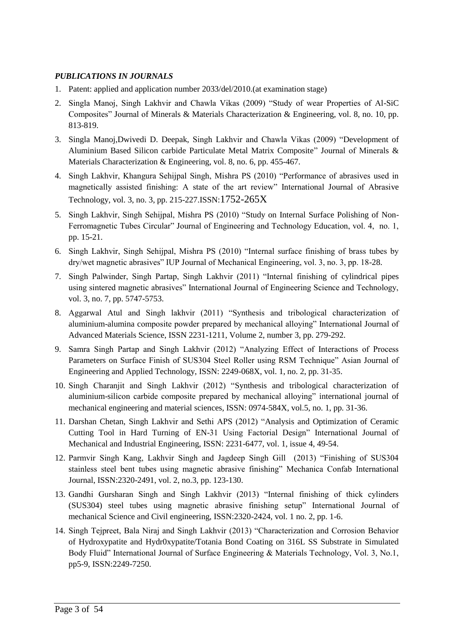#### *PUBLICATIONS IN JOURNALS*

- 1. Patent: applied and application number 2033/del/2010.(at examination stage)
- 2. Singla Manoj, Singh Lakhvir and Chawla Vikas (2009) "Study of wear Properties of Al-SiC Composites" Journal of Minerals & Materials Characterization & Engineering, vol. 8, no. 10, pp. 813-819.
- 3. Singla Manoj,Dwivedi D. Deepak, Singh Lakhvir and Chawla Vikas (2009) "Development of Aluminium Based Silicon carbide Particulate Metal Matrix Composite" Journal of Minerals & Materials Characterization & Engineering, vol. 8, no. 6, pp. 455-467.
- 4. Singh Lakhvir, Khangura Sehijpal Singh, Mishra PS (2010) "Performance of abrasives used in magnetically assisted finishing: A state of the art review" International Journal of Abrasive Technology, vol. 3, no. 3, pp. 215-227.ISSN:1752-265X
- 5. Singh Lakhvir, Singh Sehijpal, Mishra PS (2010) "Study on Internal Surface Polishing of Non-Ferromagnetic Tubes Circular" Journal of Engineering and Technology Education, vol. 4, no. 1, pp. 15-21.
- 6. Singh Lakhvir, Singh Sehijpal, Mishra PS (2010) "Internal surface finishing of brass tubes by dry/wet magnetic abrasives" IUP Journal of Mechanical Engineering, vol. 3, no. 3, pp. 18-28.
- 7. Singh Palwinder, Singh Partap, Singh Lakhvir (2011) "Internal finishing of cylindrical pipes using sintered magnetic abrasives" International Journal of Engineering Science and Technology, vol. 3, no. 7, pp. 5747-5753.
- 8. Aggarwal Atul and Singh lakhvir (2011) "Synthesis and tribological characterization of aluminium-alumina composite powder prepared by mechanical alloying" International Journal of Advanced Materials Science, ISSN 2231-1211, Volume 2, number 3, pp. 279-292.
- 9. Samra Singh Partap and Singh Lakhvir (2012) "Analyzing Effect of Interactions of Process Parameters on Surface Finish of SUS304 Steel Roller using RSM Technique" Asian Journal of Engineering and Applied Technology, ISSN: 2249-068X, vol. 1, no. 2, pp. 31-35.
- 10. Singh Charanjit and Singh Lakhvir (2012) "Synthesis and tribological characterization of aluminium-silicon carbide composite prepared by mechanical alloying" international journal of mechanical engineering and material sciences, ISSN: 0974-584X, vol.5, no. 1, pp. 31-36.
- 11. Darshan Chetan, Singh Lakhvir and Sethi APS (2012) "Analysis and Optimization of Ceramic Cutting Tool in Hard Turning of EN-31 Using Factorial Design" International Journal of Mechanical and Industrial Engineering, ISSN: 2231-6477, vol. 1, issue 4, 49-54.
- 12. Parmvir Singh Kang, Lakhvir Singh and Jagdeep Singh Gill (2013) "Finishing of SUS304 stainless steel bent tubes using magnetic abrasive finishing" Mechanica Confab International Journal, ISSN:2320-2491, vol. 2, no.3, pp. 123-130.
- 13. Gandhi Gursharan Singh and Singh Lakhvir (2013) "Internal finishing of thick cylinders (SUS304) steel tubes using magnetic abrasive finishing setup" International Journal of mechanical Science and Civil engineering, ISSN:2320-2424, vol. 1 no. 2, pp. 1-6.
- 14. Singh Tejpreet, Bala Niraj and Singh Lakhvir (2013) "Characterization and Corrosion Behavior of Hydroxypatite and Hydr0xypatite/Totania Bond Coating on 316L SS Substrate in Simulated Body Fluid" International Journal of Surface Engineering & Materials Technology, Vol. 3, No.1, pp5-9, ISSN:2249-7250.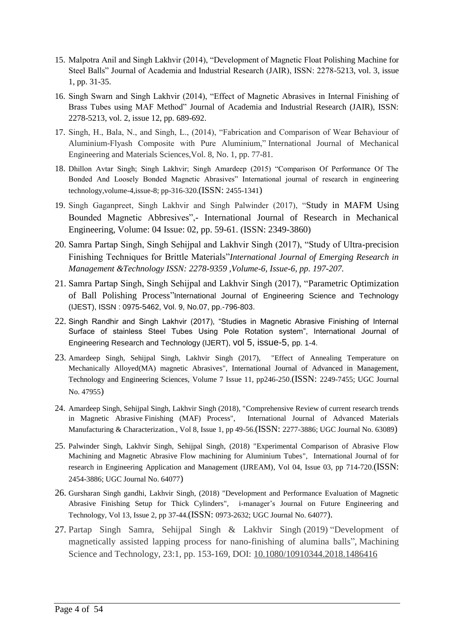- 15. Malpotra Anil and Singh Lakhvir (2014), "Development of Magnetic Float Polishing Machine for Steel Balls" Journal of Academia and Industrial Research (JAIR), ISSN: 2278-5213, vol. 3, issue 1, pp. 31-35.
- 16. Singh Swarn and Singh Lakhvir (2014), "Effect of Magnetic Abrasives in Internal Finishing of Brass Tubes using MAF Method" Journal of Academia and Industrial Research (JAIR), ISSN: 2278-5213, vol. 2, issue 12, pp. 689-692.
- 17. Singh, H., Bala, N., and Singh, L., (2014), "Fabrication and Comparison of Wear Behaviour of Aluminium-Flyash Composite with Pure Aluminium," International Journal of Mechanical Engineering and Materials Sciences,Vol. 8, No. 1, pp. 77-81.
- 18. Dhillon Avtar Singh; Singh Lakhvir; Singh Amardeep (2015) "Comparison Of Performance Of The Bonded And Loosely Bonded Magnetic Abrasives" International journal of research in engineering technology,volume-4,issue-8; pp-316-320.(ISSN: 2455-1341)
- 19. Singh Gaganpreet, Singh Lakhvir and Singh Palwinder (2017), "Study in MAFM Using Bounded Magnetic Abbresives",- International Journal of Research in Mechanical Engineering, Volume: 04 Issue: 02, pp. 59-61. (ISSN: 2349-3860)
- 20. Samra Partap Singh, Singh Sehijpal and Lakhvir Singh (2017), "Study of Ultra-precision Finishing Techniques for Brittle Materials"*International Journal of Emerging Research in Management &Technology ISSN: 2278-9359 ,Volume-6, Issue-6, pp. 197-207.*
- 21. Samra Partap Singh, Singh Sehijpal and Lakhvir Singh (2017), "Parametric Optimization of Ball Polishing Process"International Journal of Engineering Science and Technology (IJEST), ISSN : 0975-5462, Vol. 9, No.07, pp.-796-803.
- 22. Singh Randhir and Singh Lakhvir (2017), "Studies in Magnetic Abrasive Finishing of Internal Surface of stainless Steel Tubes Using Pole Rotation system", International Journal of Engineering Research and Technology (IJERT), vol 5, issue-5, pp. 1-4.
- 23. Amardeep Singh, Sehijpal Singh, Lakhvir Singh (2017), "Effect of Annealing Temperature on Mechanically Alloyed(MA) magnetic Abrasives", International Journal of Advanced in Management, Technology and Engineering Sciences, Volume 7 Issue 11, pp246-250.(ISSN: 2249-7455; UGC Journal No. 47955)
- 24. Amardeep Singh, Sehijpal Singh, Lakhvir Singh (2018), "Comprehensive Review of current research trends in Magnetic Abrasive Finishing (MAF) Process", International Journal of Advanced Materials Manufacturing & Characterization., Vol 8, Issue 1, pp 49-56.(ISSN: 2277-3886; UGC Journal No. 63089)
- 25. Palwinder Singh, Lakhvir Singh, Sehijpal Singh, (2018) "Experimental Comparison of Abrasive Flow Machining and Magnetic Abrasive Flow machining for Aluminium Tubes", International Journal of for research in Engineering Application and Management (IJREAM), Vol 04, Issue 03, pp 714-720.(ISSN: 2454-3886; UGC Journal No. 64077)
- 26. Gursharan Singh gandhi, Lakhvir Singh, (2018) "Development and Performance Evaluation of Magnetic Abrasive Finishing Setup for Thick Cylinders", i-manager's Journal on Future Engineering and Technology, Vol 13, Issue 2, pp 37-44.(ISSN: 0973-2632; UGC Journal No. 64077).
- 27. Partap Singh Samra, Sehijpal Singh & Lakhvir Singh (2019) "Development of magnetically assisted lapping process for nano-finishing of alumina balls", Machining Science and Technology, 23:1, pp. 153-169, DOI: [10.1080/10910344.2018.1486416](https://doi.org/10.1080/10910344.2018.1486416)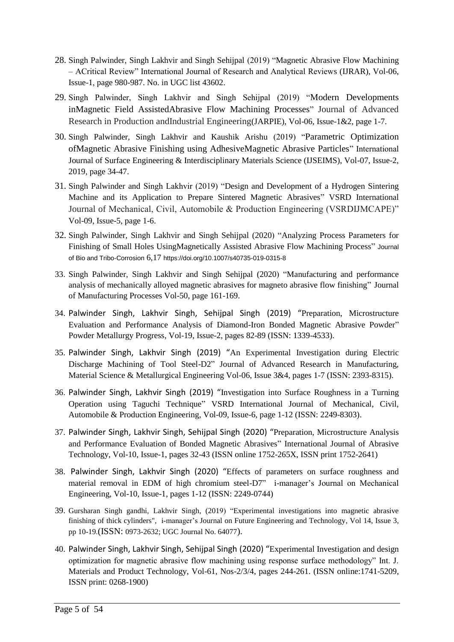- 28. Singh Palwinder, Singh Lakhvir and Singh Sehijpal (2019) "Magnetic Abrasive Flow Machining – ACritical Review" International Journal of Research and Analytical Reviews (IJRAR), Vol-06, Issue-1, page 980-987. No. in UGC list 43602.
- 29. Singh Palwinder, Singh Lakhvir and Singh Sehijpal (2019) "Modern Developments inMagnetic Field AssistedAbrasive Flow Machining Processes" Journal of Advanced Research in Production andIndustrial Engineering(JARPIE), Vol-06, Issue-1&2, page 1-7.
- 30. Singh Palwinder, Singh Lakhvir and Kaushik Arishu (2019) "Parametric Optimization ofMagnetic Abrasive Finishing using AdhesiveMagnetic Abrasive Particles" International Journal of Surface Engineering & Interdisciplinary Materials Science (IJSEIMS), Vol-07, Issue-2, 2019, page 34-47.
- 31. Singh Palwinder and Singh Lakhvir (2019) "Design and Development of a Hydrogen Sintering Machine and its Application to Prepare Sintered Magnetic Abrasives" VSRD International Journal of Mechanical, Civil, Automobile & Production Engineering (VSRDIJMCAPE)" Vol-09, Issue-5, page 1-6.
- 32. Singh Palwinder, Singh Lakhvir and Singh Sehijpal (2020) "Analyzing Process Parameters for Finishing of Small Holes UsingMagnetically Assisted Abrasive Flow Machining Process" Journal of Bio and Tribo-Corrosion 6,17 https://doi.org/10.1007/s40735-019-0315-8
- 33. Singh Palwinder, Singh Lakhvir and Singh Sehijpal (2020) "Manufacturing and performance analysis of mechanically alloyed magnetic abrasives for magneto abrasive flow finishing" Journal of Manufacturing Processes Vol-50, page 161-169.
- 34. Palwinder Singh, Lakhvir Singh, Sehijpal Singh (2019) "Preparation, Microstructure Evaluation and Performance Analysis of Diamond-Iron Bonded Magnetic Abrasive Powder" Powder Metallurgy Progress, Vol-19, Issue-2, pages 82-89 (ISSN: 1339-4533).
- 35. Palwinder Singh, Lakhvir Singh (2019) "An Experimental Investigation during Electric Discharge Machining of Tool Steel-D2" Journal of Advanced Research in Manufacturing, Material Science & Metallurgical Engineering Vol-06, Issue 3&4, pages 1-7 (ISSN: 2393-8315).
- 36. Palwinder Singh, Lakhvir Singh (2019) "Investigation into Surface Roughness in a Turning Operation using Taguchi Technique" VSRD International Journal of Mechanical, Civil, Automobile & Production Engineering, Vol-09, Issue-6, page 1-12 (ISSN: 2249-8303).
- 37. Palwinder Singh, Lakhvir Singh, Sehijpal Singh (2020) "Preparation, Microstructure Analysis and Performance Evaluation of Bonded Magnetic Abrasives" International Journal of Abrasive Technology, Vol-10, Issue-1, pages 32-43 (ISSN online 1752-265X, ISSN print 1752-2641)
- 38. Palwinder Singh, Lakhvir Singh (2020) "Effects of parameters on surface roughness and material removal in EDM of high chromium steel-D7" i-manager's Journal on Mechanical Engineering, Vol-10, Issue-1, pages 1-12 (ISSN: 2249-0744)
- 39. Gursharan Singh gandhi, Lakhvir Singh, (2019) "Experimental investigations into magnetic abrasive finishing of thick cylinders", i-manager's Journal on Future Engineering and Technology, Vol 14, Issue 3, pp 10-19.(ISSN: 0973-2632; UGC Journal No. 64077).
- 40. Palwinder Singh, Lakhvir Singh, Sehijpal Singh (2020) "Experimental Investigation and design optimization for magnetic abrasive flow machining using response surface methodology" Int. J. Materials and Product Technology, Vol-61, Nos-2/3/4, pages 244-261. (ISSN online:1741-5209, ISSN print: 0268-1900)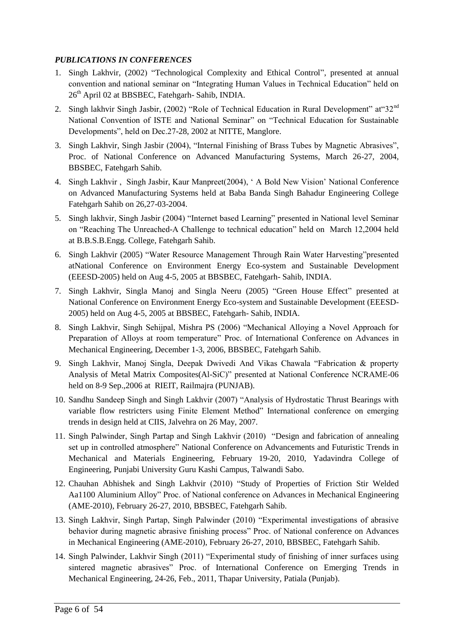#### *PUBLICATIONS IN CONFERENCES*

- 1. Singh Lakhvir, (2002) "Technological Complexity and Ethical Control", presented at annual convention and national seminar on "Integrating Human Values in Technical Education" held on 26th April 02 at BBSBEC, Fatehgarh- Sahib, INDIA.
- 2. Singh lakhvir Singh Jasbir, (2002) "Role of Technical Education in Rural Development" at "32<sup>nd</sup> National Convention of ISTE and National Seminar" on "Technical Education for Sustainable Developments", held on Dec.27-28, 2002 at NITTE, Manglore.
- 3. Singh Lakhvir, Singh Jasbir (2004), "Internal Finishing of Brass Tubes by Magnetic Abrasives", Proc. of National Conference on Advanced Manufacturing Systems, March 26-27, 2004, BBSBEC, Fatehgarh Sahib.
- 4. Singh Lakhvir , Singh Jasbir, Kaur Manpreet(2004), " A Bold New Vision" National Conference on Advanced Manufacturing Systems held at Baba Banda Singh Bahadur Engineering College Fatehgarh Sahib on 26,27-03-2004.
- 5. Singh lakhvir, Singh Jasbir (2004) "Internet based Learning" presented in National level Seminar on "Reaching The Unreached-A Challenge to technical education" held on March 12,2004 held at B.B.S.B.Engg. College, Fatehgarh Sahib.
- 6. Singh Lakhvir (2005) "Water Resource Management Through Rain Water Harvesting"presented atNational Conference on Environment Energy Eco-system and Sustainable Development (EEESD-2005) held on Aug 4-5, 2005 at BBSBEC, Fatehgarh- Sahib, INDIA.
- 7. Singh Lakhvir, Singla Manoj and Singla Neeru (2005) "Green House Effect" presented at National Conference on Environment Energy Eco-system and Sustainable Development (EEESD-2005) held on Aug 4-5, 2005 at BBSBEC, Fatehgarh- Sahib, INDIA.
- 8. Singh Lakhvir, Singh Sehijpal, Mishra PS (2006) "Mechanical Alloying a Novel Approach for Preparation of Alloys at room temperature" Proc. of International Conference on Advances in Mechanical Engineering, December 1-3, 2006, BBSBEC, Fatehgarh Sahib.
- 9. Singh Lakhvir, Manoj Singla, Deepak Dwivedi And Vikas Chawala "Fabrication & property Analysis of Metal Matrix Composites(Al-SiC)" presented at National Conference NCRAME-06 held on 8-9 Sep.,2006 at RIEIT, Railmajra (PUNJAB).
- 10. Sandhu Sandeep Singh and Singh Lakhvir (2007) "Analysis of Hydrostatic Thrust Bearings with variable flow restricters using Finite Element Method" International conference on emerging trends in design held at CIIS, Jalvehra on 26 May, 2007.
- 11. Singh Palwinder, Singh Partap and Singh Lakhvir (2010) "Design and fabrication of annealing set up in controlled atmosphere" National Conference on Advancements and Futuristic Trends in Mechanical and Materials Engineering, February 19-20, 2010, Yadavindra College of Engineering, Punjabi University Guru Kashi Campus, Talwandi Sabo.
- 12. Chauhan Abhishek and Singh Lakhvir (2010) "Study of Properties of Friction Stir Welded Aa1100 Aluminium Alloy" Proc. of National conference on Advances in Mechanical Engineering (AME-2010), February 26-27, 2010, BBSBEC, Fatehgarh Sahib.
- 13. Singh Lakhvir, Singh Partap, Singh Palwinder (2010) "Experimental investigations of abrasive behavior during magnetic abrasive finishing process" Proc. of National conference on Advances in Mechanical Engineering (AME-2010), February 26-27, 2010, BBSBEC, Fatehgarh Sahib.
- 14. Singh Palwinder, Lakhvir Singh (2011) "Experimental study of finishing of inner surfaces using sintered magnetic abrasives" Proc. of International Conference on Emerging Trends in Mechanical Engineering, 24-26, Feb., 2011, Thapar University, Patiala (Punjab).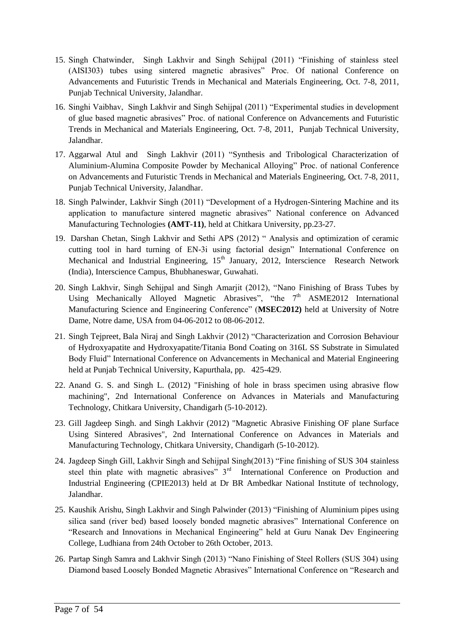- 15. Singh Chatwinder, Singh Lakhvir and Singh Sehijpal (2011) "Finishing of stainless steel (AISI303) tubes using sintered magnetic abrasives" Proc. Of national Conference on Advancements and Futuristic Trends in Mechanical and Materials Engineering, Oct. 7-8, 2011, Punjab Technical University, Jalandhar.
- 16. Singhi Vaibhav, Singh Lakhvir and Singh Sehijpal (2011) "Experimental studies in development of glue based magnetic abrasives" Proc. of national Conference on Advancements and Futuristic Trends in Mechanical and Materials Engineering, Oct. 7-8, 2011, Punjab Technical University, Jalandhar.
- 17. Aggarwal Atul and Singh Lakhvir (2011) "Synthesis and Tribological Characterization of Aluminium-Alumina Composite Powder by Mechanical Alloying" Proc. of national Conference on Advancements and Futuristic Trends in Mechanical and Materials Engineering, Oct. 7-8, 2011, Punjab Technical University, Jalandhar.
- 18. Singh Palwinder, Lakhvir Singh (2011) "Development of a Hydrogen-Sintering Machine and its application to manufacture sintered magnetic abrasives" National conference on Advanced Manufacturing Technologies **(AMT-11)**, held at Chitkara University, pp.23-27.
- 19. Darshan Chetan, Singh Lakhvir and Sethi APS (2012) " Analysis and optimization of ceramic cutting tool in hard turning of EN-3i using factorial design" International Conference on Mechanical and Industrial Engineering,  $15<sup>th</sup>$  January, 2012, Interscience Research Network (India), Interscience Campus, Bhubhaneswar, Guwahati.
- 20. Singh Lakhvir, Singh Sehijpal and Singh Amarjit (2012), "Nano Finishing of Brass Tubes by Using Mechanically Alloyed Magnetic Abrasives", "the  $7<sup>th</sup>$  ASME2012 International Manufacturing Science and Engineering Conference" (**MSEC2012)** held at University of Notre Dame, Notre dame, USA from 04-06-2012 to 08-06-2012.
- 21. Singh Tejpreet, Bala Niraj and Singh Lakhvir (2012) "Characterization and Corrosion Behaviour of Hydroxyapatite and Hydroxyapatite/Titania Bond Coating on 316L SS Substrate in Simulated Body Fluid" International Conference on Advancements in Mechanical and Material Engineering held at Punjab Technical University, Kapurthala, pp. 425-429.
- 22. Anand G. S. and Singh L. (2012) "Finishing of hole in brass specimen using abrasive flow machining", 2nd International Conference on Advances in Materials and Manufacturing Technology, Chitkara University, Chandigarh (5-10-2012).
- 23. Gill Jagdeep Singh. and Singh Lakhvir (2012) "Magnetic Abrasive Finishing OF plane Surface Using Sintered Abrasives", 2nd International Conference on Advances in Materials and Manufacturing Technology, Chitkara University, Chandigarh (5-10-2012).
- 24. Jagdeep Singh Gill, Lakhvir Singh and Sehijpal Singh(2013) "Fine finishing of SUS 304 stainless steel thin plate with magnetic abrasives"  $3<sup>rd</sup>$  International Conference on Production and Industrial Engineering (CPIE2013) held at Dr BR Ambedkar National Institute of technology, Jalandhar.
- 25. Kaushik Arishu, Singh Lakhvir and Singh Palwinder (2013) "Finishing of Aluminium pipes using silica sand (river bed) based loosely bonded magnetic abrasives" International Conference on "Research and Innovations in Mechanical Engineering" held at Guru Nanak Dev Engineering College, Ludhiana from 24th October to 26th October, 2013.
- 26. Partap Singh Samra and Lakhvir Singh (2013) "Nano Finishing of Steel Rollers (SUS 304) using Diamond based Loosely Bonded Magnetic Abrasives" International Conference on "Research and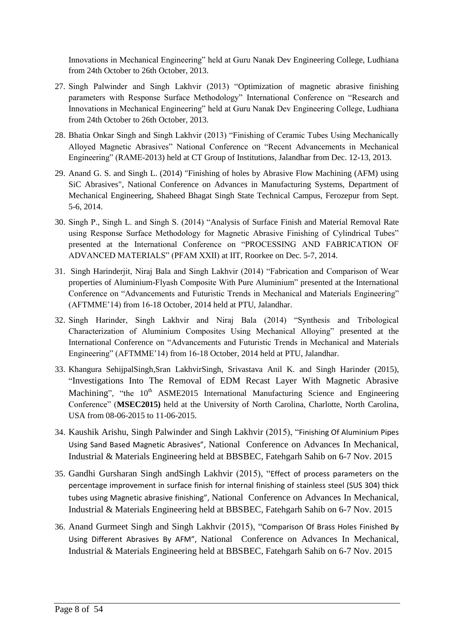Innovations in Mechanical Engineering" held at Guru Nanak Dev Engineering College, Ludhiana from 24th October to 26th October, 2013.

- 27. Singh Palwinder and Singh Lakhvir (2013) "Optimization of magnetic abrasive finishing parameters with Response Surface Methodology" International Conference on "Research and Innovations in Mechanical Engineering" held at Guru Nanak Dev Engineering College, Ludhiana from 24th October to 26th October, 2013.
- 28. Bhatia Onkar Singh and Singh Lakhvir (2013) "Finishing of Ceramic Tubes Using Mechanically Alloyed Magnetic Abrasives" National Conference on "Recent Advancements in Mechanical Engineering" (RAME-2013) held at CT Group of Institutions, Jalandhar from Dec. 12-13, 2013.
- 29. Anand G. S. and Singh L. (2014) "Finishing of holes by Abrasive Flow Machining (AFM) using SiC Abrasives", National Conference on Advances in Manufacturing Systems, Department of Mechanical Engineering, Shaheed Bhagat Singh State Technical Campus, Ferozepur from Sept. 5-6, 2014.
- 30. Singh P., Singh L. and Singh S. (2014) "Analysis of Surface Finish and Material Removal Rate using Response Surface Methodology for Magnetic Abrasive Finishing of Cylindrical Tubes" presented at the International Conference on "PROCESSING AND FABRICATION OF ADVANCED MATERIALS" (PFAM XXII) at IIT, Roorkee on Dec. 5-7, 2014.
- 31. Singh Harinderjit, Niraj Bala and Singh Lakhvir (2014) "Fabrication and Comparison of Wear properties of Aluminium-Flyash Composite With Pure Aluminium" presented at the International Conference on "Advancements and Futuristic Trends in Mechanical and Materials Engineering" (AFTMME"14) from 16-18 October, 2014 held at PTU, Jalandhar.
- 32. Singh Harinder, Singh Lakhvir and Niraj Bala (2014) "Synthesis and Tribological Characterization of Aluminium Composites Using Mechanical Alloying" presented at the International Conference on "Advancements and Futuristic Trends in Mechanical and Materials Engineering" (AFTMME'14) from 16-18 October, 2014 held at PTU, Jalandhar.
- 33. Khangura SehijpalSingh,Sran LakhvirSingh, Srivastava Anil K. and Singh Harinder (2015), "Investigations Into The Removal of EDM Recast Layer With Magnetic Abrasive Machining", "the  $10<sup>th</sup>$  ASME2015 International Manufacturing Science and Engineering Conference" (**MSEC2015)** held at the University of North Carolina, Charlotte, North Carolina, USA from 08-06-2015 to 11-06-2015.
- 34. Kaushik Arishu, Singh Palwinder and Singh Lakhvir (2015), "Finishing Of Aluminium Pipes Using Sand Based Magnetic Abrasives", National Conference on Advances In Mechanical, Industrial & Materials Engineering held at BBSBEC, Fatehgarh Sahib on 6-7 Nov. 2015
- 35. Gandhi Gursharan Singh andSingh Lakhvir (2015), "Effect of process parameters on the percentage improvement in surface finish for internal finishing of stainless steel (SUS 304) thick tubes using Magnetic abrasive finishing", National Conference on Advances In Mechanical, Industrial & Materials Engineering held at BBSBEC, Fatehgarh Sahib on 6-7 Nov. 2015
- 36. Anand Gurmeet Singh and Singh Lakhvir (2015), "Comparison Of Brass Holes Finished By Using Different Abrasives By AFM", National Conference on Advances In Mechanical, Industrial & Materials Engineering held at BBSBEC, Fatehgarh Sahib on 6-7 Nov. 2015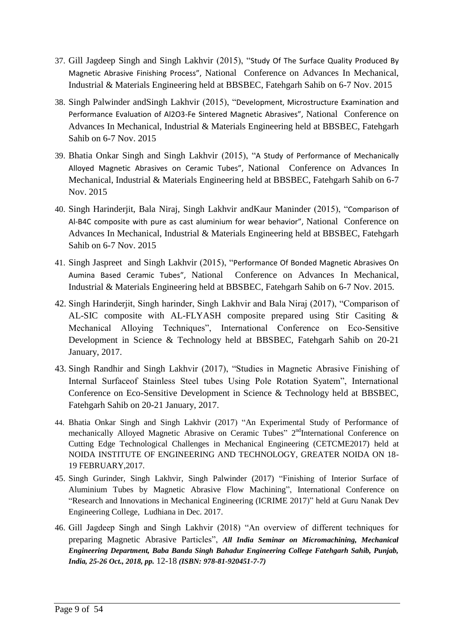- 37. Gill Jagdeep Singh and Singh Lakhvir (2015), "Study Of The Surface Quality Produced By Magnetic Abrasive Finishing Process", National Conference on Advances In Mechanical, Industrial & Materials Engineering held at BBSBEC, Fatehgarh Sahib on 6-7 Nov. 2015
- 38. Singh Palwinder andSingh Lakhvir (2015), "Development, Microstructure Examination and Performance Evaluation of Al2O3-Fe Sintered Magnetic Abrasives", National Conference on Advances In Mechanical, Industrial & Materials Engineering held at BBSBEC, Fatehgarh Sahib on 6-7 Nov. 2015
- 39. Bhatia Onkar Singh and Singh Lakhvir (2015), "A Study of Performance of Mechanically Alloyed Magnetic Abrasives on Ceramic Tubes", National Conference on Advances In Mechanical, Industrial & Materials Engineering held at BBSBEC, Fatehgarh Sahib on 6-7 Nov. 2015
- 40. Singh Harinderjit, Bala Niraj, Singh Lakhvir andKaur Maninder (2015), "Comparison of Al-B4C composite with pure as cast aluminium for wear behavior", National Conference on Advances In Mechanical, Industrial & Materials Engineering held at BBSBEC, Fatehgarh Sahib on 6-7 Nov. 2015
- 41. Singh Jaspreet and Singh Lakhvir (2015), "Performance Of Bonded Magnetic Abrasives On Aumina Based Ceramic Tubes", National Conference on Advances In Mechanical, Industrial & Materials Engineering held at BBSBEC, Fatehgarh Sahib on 6-7 Nov. 2015.
- 42. Singh Harinderjit, Singh harinder, Singh Lakhvir and Bala Niraj (2017), "Comparison of AL-SIC composite with AL-FLYASH composite prepared using Stir Casiting & Mechanical Alloying Techniques", International Conference on Eco-Sensitive Development in Science & Technology held at BBSBEC, Fatehgarh Sahib on 20-21 January, 2017.
- 43. Singh Randhir and Singh Lakhvir (2017), "Studies in Magnetic Abrasive Finishing of Internal Surfaceof Stainless Steel tubes Using Pole Rotation Syatem", International Conference on Eco-Sensitive Development in Science & Technology held at BBSBEC, Fatehgarh Sahib on 20-21 January, 2017.
- 44. Bhatia Onkar Singh and Singh Lakhvir (2017) "An Experimental Study of Performance of mechanically Alloyed Magnetic Abrasive on Ceramic Tubes" 2<sup>nd</sup>International Conference on Cutting Edge Technological Challenges in Mechanical Engineering (CETCME2017) held at NOIDA INSTITUTE OF ENGINEERING AND TECHNOLOGY, GREATER NOIDA ON 18- 19 FEBRUARY,2017.
- 45. Singh Gurinder, Singh Lakhvir, Singh Palwinder (2017) "Finishing of Interior Surface of Aluminium Tubes by Magnetic Abrasive Flow Machining", International Conference on "Research and Innovations in Mechanical Engineering (ICRIME 2017)" held at Guru Nanak Dev Engineering College, Ludhiana in Dec. 2017.
- 46. Gill Jagdeep Singh and Singh Lakhvir (2018) "An overview of different techniques for preparing Magnetic Abrasive Particles", *All India Seminar on Micromachining, Mechanical Engineering Department, Baba Banda Singh Bahadur Engineering College Fatehgarh Sahib, Punjab, India, 25-26 Oct., 2018, pp.* 12-18 *(ISBN: 978-81-920451-7-7)*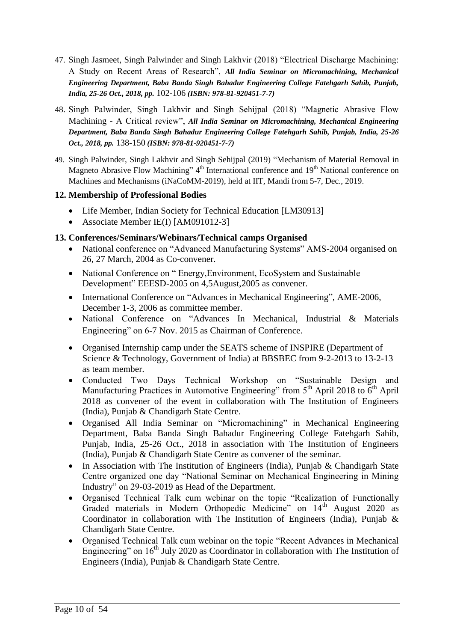- 47. Singh Jasmeet, Singh Palwinder and Singh Lakhvir (2018) "Electrical Discharge Machining: A Study on Recent Areas of Research", *All India Seminar on Micromachining, Mechanical Engineering Department, Baba Banda Singh Bahadur Engineering College Fatehgarh Sahib, Punjab, India, 25-26 Oct., 2018, pp.* 102-106 *(ISBN: 978-81-920451-7-7)*
- 48. Singh Palwinder, Singh Lakhvir and Singh Sehijpal (2018) "Magnetic Abrasive Flow Machining - A Critical review", *All India Seminar on Micromachining, Mechanical Engineering Department, Baba Banda Singh Bahadur Engineering College Fatehgarh Sahib, Punjab, India, 25-26 Oct., 2018, pp.* 138-150 *(ISBN: 978-81-920451-7-7)*
- 49. Singh Palwinder, Singh Lakhvir and Singh Sehijpal (2019) "Mechanism of Material Removal in Magneto Abrasive Flow Machining" 4<sup>th</sup> International conference and 19<sup>th</sup> National conference on Machines and Mechanisms (iNaCoMM-2019), held at IIT, Mandi from 5-7, Dec., 2019.

### **12. Membership of Professional Bodies**

- Life Member, Indian Society for Technical Education [LM30913]
- Associate Member IE(I) [AM091012-3]

### **13. Conferences/Seminars/Webinars/Technical camps Organised**

- National conference on "Advanced Manufacturing Systems" AMS-2004 organised on 26, 27 March, 2004 as Co-convener.
- National Conference on "Energy, Environment, EcoSystem and Sustainable Development" EEESD-2005 on 4,5August,2005 as convener.
- International Conference on "Advances in Mechanical Engineering", AME-2006, December 1-3, 2006 as committee member.
- National Conference on "Advances In Mechanical, Industrial & Materials Engineering" on 6-7 Nov. 2015 as Chairman of Conference.
- Organised Internship camp under the SEATS scheme of INSPIRE (Department of Science & Technology, Government of India) at BBSBEC from 9-2-2013 to 13-2-13 as team member.
- Conducted Two Days Technical Workshop on "Sustainable Design and Manufacturing Practices in Automotive Engineering" from  $5<sup>th</sup>$  April 2018 to  $6<sup>th</sup>$  April 2018 as convener of the event in collaboration with The Institution of Engineers (India), Punjab & Chandigarh State Centre.
- Organised All India Seminar on "Micromachining" in Mechanical Engineering Department, Baba Banda Singh Bahadur Engineering College Fatehgarh Sahib, Punjab, India, 25-26 Oct., 2018 in association with The Institution of Engineers (India), Punjab & Chandigarh State Centre as convener of the seminar.
- In Association with The Institution of Engineers (India), Punjab & Chandigarh State Centre organized one day "National Seminar on Mechanical Engineering in Mining Industry" on 29-03-2019 as Head of the Department.
- Organised Technical Talk cum webinar on the topic "Realization of Functionally Graded materials in Modern Orthopedic Medicine" on 14<sup>th</sup> August 2020 as Coordinator in collaboration with The Institution of Engineers (India), Punjab & Chandigarh State Centre.
- Organised Technical Talk cum webinar on the topic "Recent Advances in Mechanical Engineering" on  $16<sup>th</sup>$  July 2020 as Coordinator in collaboration with The Institution of Engineers (India), Punjab & Chandigarh State Centre.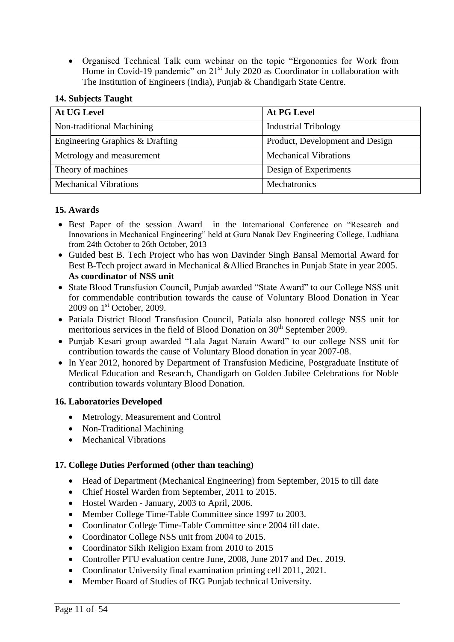Organised Technical Talk cum webinar on the topic "Ergonomics for Work from Home in Covid-19 pandemic" on  $21<sup>st</sup>$  July 2020 as Coordinator in collaboration with The Institution of Engineers (India), Punjab & Chandigarh State Centre.

### **14. Subjects Taught**

| <b>At UG Level</b>              | <b>At PG Level</b>              |
|---------------------------------|---------------------------------|
| Non-traditional Machining       | <b>Industrial Tribology</b>     |
| Engineering Graphics & Drafting | Product, Development and Design |
| Metrology and measurement       | <b>Mechanical Vibrations</b>    |
| Theory of machines              | Design of Experiments           |
| <b>Mechanical Vibrations</b>    | Mechatronics                    |

#### **15. Awards**

- Best Paper of the session Award in the International Conference on "Research and Innovations in Mechanical Engineering" held at Guru Nanak Dev Engineering College, Ludhiana from 24th October to 26th October, 2013
- Guided best B. Tech Project who has won Davinder Singh Bansal Memorial Award for Best B-Tech project award in Mechanical &Allied Branches in Punjab State in year 2005. **As coordinator of NSS unit**
- State Blood Transfusion Council, Punjab awarded "State Award" to our College NSS unit for commendable contribution towards the cause of Voluntary Blood Donation in Year  $2009$  on  $1<sup>st</sup>$  October, 2009.
- Patiala District Blood Transfusion Council, Patiala also honored college NSS unit for meritorious services in the field of Blood Donation on  $30<sup>th</sup>$  September 2009.
- Punjab Kesari group awarded "Lala Jagat Narain Award" to our college NSS unit for contribution towards the cause of Voluntary Blood donation in year 2007-08.
- In Year 2012, honored by Department of Transfusion Medicine, Postgraduate Institute of Medical Education and Research, Chandigarh on Golden Jubilee Celebrations for Noble contribution towards voluntary Blood Donation.

#### **16. Laboratories Developed**

- Metrology, Measurement and Control
- Non-Traditional Machining
- Mechanical Vibrations

#### **17. College Duties Performed (other than teaching)**

- Head of Department (Mechanical Engineering) from September, 2015 to till date
- Chief Hostel Warden from September, 2011 to 2015.
- Hostel Warden January, 2003 to April, 2006.
- Member College Time-Table Committee since 1997 to 2003.
- Coordinator College Time-Table Committee since 2004 till date.
- Coordinator College NSS unit from 2004 to 2015.
- Coordinator Sikh Religion Exam from 2010 to 2015
- Controller PTU evaluation centre June, 2008, June 2017 and Dec. 2019.
- Coordinator University final examination printing cell 2011, 2021.
- Member Board of Studies of IKG Punjab technical University.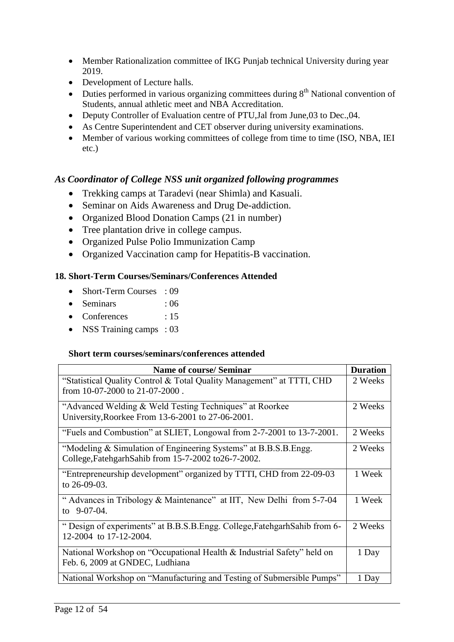- Member Rationalization committee of IKG Punjab technical University during year 2019.
- Development of Lecture halls.
- $\bullet$  Duties performed in various organizing committees during  $8<sup>th</sup>$  National convention of Students, annual athletic meet and NBA Accreditation.
- Deputy Controller of Evaluation centre of PTU, Jal from June, 03 to Dec., 04.
- As Centre Superintendent and CET observer during university examinations.
- Member of various working committees of college from time to time (ISO, NBA, IEI etc.)

## *As Coordinator of College NSS unit organized following programmes*

- Trekking camps at Taradevi (near Shimla) and Kasuali.
- Seminar on Aids Awareness and Drug De-addiction.
- Organized Blood Donation Camps (21 in number)
- Tree plantation drive in college campus.
- Organized Pulse Polio Immunization Camp
- Organized Vaccination camp for Hepatitis-B vaccination.

### **18. Short-Term Courses/Seminars/Conferences Attended**

- Short-Term Courses : 09
- Seminars : 06
- Conferences : 15
- NSS Training camps : 03

#### **Short term courses/seminars/conferences attended**

| <b>Name of course/ Seminar</b>                                             | <b>Duration</b> |
|----------------------------------------------------------------------------|-----------------|
| "Statistical Quality Control & Total Quality Management" at TTTI, CHD      | 2 Weeks         |
| from $10-07-2000$ to $21-07-2000$ .                                        |                 |
| "Advanced Welding & Weld Testing Techniques" at Roorkee                    | 2 Weeks         |
| University, Roorkee From 13-6-2001 to 27-06-2001.                          |                 |
| "Fuels and Combustion" at SLIET, Longowal from 2-7-2001 to 13-7-2001.      | 2 Weeks         |
| "Modeling & Simulation of Engineering Systems" at B.B.S.B.Engg.            | 2 Weeks         |
| College, Fatehgarh Sahib from 15-7-2002 to 26-7-2002.                      |                 |
| "Entrepreneurship development" organized by TTTI, CHD from 22-09-03        | 1 Week          |
| to $26-09-03$ .                                                            |                 |
| " Advances in Tribology & Maintenance" at IIT, New Delhi from 5-7-04       | 1 Week          |
| to $9-07-04$ .                                                             |                 |
| " Design of experiments" at B.B.S.B.Engg. College, Fatehgarh Sahib from 6- | 2 Weeks         |
| 12-2004 to 17-12-2004.                                                     |                 |
| National Workshop on "Occupational Health & Industrial Safety" held on     | 1 Day           |
| Feb. 6, 2009 at GNDEC, Ludhiana                                            |                 |
| National Workshop on "Manufacturing and Testing of Submersible Pumps"      | 1 Day           |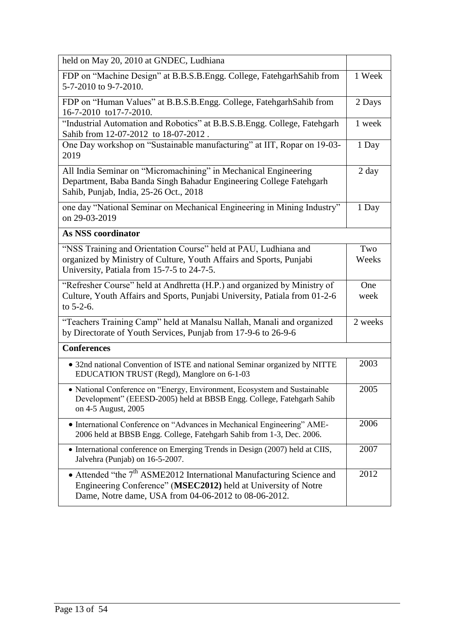| held on May 20, 2010 at GNDEC, Ludhiana                                                                                                                                                                    |                 |
|------------------------------------------------------------------------------------------------------------------------------------------------------------------------------------------------------------|-----------------|
| FDP on "Machine Design" at B.B.S.B.Engg. College, FatehgarhSahib from<br>5-7-2010 to 9-7-2010.                                                                                                             | 1 Week          |
| FDP on "Human Values" at B.B.S.B.Engg. College, FatehgarhSahib from<br>16-7-2010 to17-7-2010.                                                                                                              | 2 Days          |
| "Industrial Automation and Robotics" at B.B.S.B.Engg. College, Fatehgarh<br>Sahib from 12-07-2012 to 18-07-2012.                                                                                           | 1 week          |
| One Day workshop on "Sustainable manufacturing" at IIT, Ropar on 19-03-<br>2019                                                                                                                            | 1 Day           |
| All India Seminar on "Micromachining" in Mechanical Engineering<br>Department, Baba Banda Singh Bahadur Engineering College Fatehgarh<br>Sahib, Punjab, India, 25-26 Oct., 2018                            | $2 \text{ day}$ |
| one day "National Seminar on Mechanical Engineering in Mining Industry"<br>on 29-03-2019                                                                                                                   | 1 Day           |
| As NSS coordinator                                                                                                                                                                                         |                 |
| "NSS Training and Orientation Course" held at PAU, Ludhiana and                                                                                                                                            | Two             |
| organized by Ministry of Culture, Youth Affairs and Sports, Punjabi<br>University, Patiala from 15-7-5 to 24-7-5.                                                                                          | Weeks           |
| "Refresher Course" held at Andhretta (H.P.) and organized by Ministry of<br>Culture, Youth Affairs and Sports, Punjabi University, Patiala from 01-2-6<br>to $5-2-6$ .                                     | One<br>week     |
| "Teachers Training Camp" held at Manalsu Nallah, Manali and organized<br>by Directorate of Youth Services, Punjab from 17-9-6 to 26-9-6                                                                    | 2 weeks         |
| <b>Conferences</b>                                                                                                                                                                                         |                 |
| • 32nd national Convention of ISTE and national Seminar organized by NITTE<br>EDUCATION TRUST (Regd), Manglore on 6-1-03                                                                                   | 2003            |
| • National Conference on "Energy, Environment, Ecosystem and Sustainable<br>Development" (EEESD-2005) held at BBSB Engg. College, Fatehgarh Sahib<br>on 4-5 August, 2005                                   | 2005            |
| • International Conference on "Advances in Mechanical Engineering" AME-<br>2006 held at BBSB Engg. College, Fatehgarh Sahib from 1-3, Dec. 2006.                                                           | 2006            |
| • International conference on Emerging Trends in Design (2007) held at CIIS,<br>Jalvehra (Punjab) on 16-5-2007.                                                                                            | 2007            |
| • Attended "the 7 <sup>th</sup> ASME2012 International Manufacturing Science and<br>Engineering Conference" (MSEC2012) held at University of Notre<br>Dame, Notre dame, USA from 04-06-2012 to 08-06-2012. | 2012            |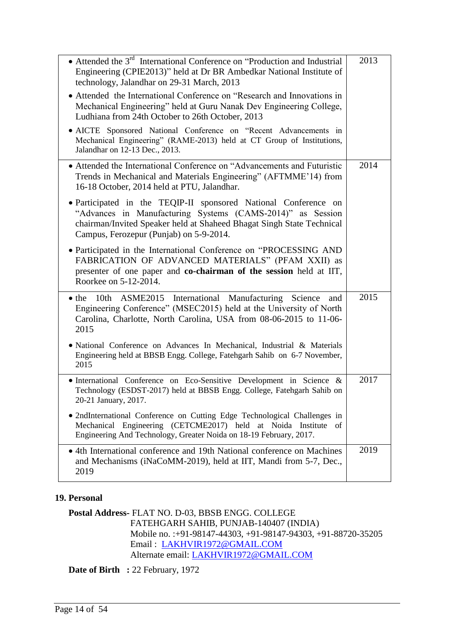| • Attended the $3rd$ International Conference on "Production and Industrial"<br>Engineering (CPIE2013)" held at Dr BR Ambedkar National Institute of<br>technology, Jalandhar on 29-31 March, 2013                                                | 2013 |
|---------------------------------------------------------------------------------------------------------------------------------------------------------------------------------------------------------------------------------------------------|------|
| • Attended the International Conference on "Research and Innovations in<br>Mechanical Engineering" held at Guru Nanak Dev Engineering College,<br>Ludhiana from 24th October to 26th October, 2013                                                |      |
| • AICTE Sponsored National Conference on "Recent Advancements in<br>Mechanical Engineering" (RAME-2013) held at CT Group of Institutions,<br>Jalandhar on 12-13 Dec., 2013.                                                                       |      |
| • Attended the International Conference on "Advancements and Futuristic<br>Trends in Mechanical and Materials Engineering" (AFTMME'14) from<br>16-18 October, 2014 held at PTU, Jalandhar.                                                        | 2014 |
| · Participated in the TEQIP-II sponsored National Conference on<br>"Advances in Manufacturing Systems (CAMS-2014)" as Session<br>chairman/Invited Speaker held at Shaheed Bhagat Singh State Technical<br>Campus, Ferozepur (Punjab) on 5-9-2014. |      |
| · Participated in the International Conference on "PROCESSING AND<br>FABRICATION OF ADVANCED MATERIALS" (PFAM XXII) as<br>presenter of one paper and co-chairman of the session held at IIT,<br>Roorkee on 5-12-2014.                             |      |
| 10th ASME2015 International Manufacturing Science<br>$\bullet$ the<br>and<br>Engineering Conference" (MSEC2015) held at the University of North<br>Carolina, Charlotte, North Carolina, USA from 08-06-2015 to 11-06-<br>2015                     | 2015 |
| • National Conference on Advances In Mechanical, Industrial & Materials<br>Engineering held at BBSB Engg. College, Fatehgarh Sahib on 6-7 November,<br>2015                                                                                       |      |
| • International Conference on Eco-Sensitive Development in Science &<br>Technology (ESDST-2017) held at BBSB Engg. College, Fatehgarh Sahib on<br>20-21 January, 2017.                                                                            | 2017 |
| • 2ndInternational Conference on Cutting Edge Technological Challenges in<br>Mechanical Engineering (CETCME2017) held at Noida Institute of<br>Engineering And Technology, Greater Noida on 18-19 February, 2017.                                 |      |
| • 4th International conference and 19th National conference on Machines<br>and Mechanisms (iNaCoMM-2019), held at IIT, Mandi from 5-7, Dec.,<br>2019                                                                                              | 2019 |

#### **19. Personal**

**Postal Address-** FLAT NO. D-03, BBSB ENGG. COLLEGE FATEHGARH SAHIB, PUNJAB-140407 (INDIA) Mobile no. :+91-98147-44303, +91-98147-94303, +91-88720-35205 Email : [LAKHVIR1972@GMAIL.COM](mailto:LAKHVIR1972@GMAIL.COM) Alternate email: [LAKHVIR1972@GMAIL.COM](mailto:LAKHVIR1972@GMAIL.COM)

Date of Birth : 22 February, 1972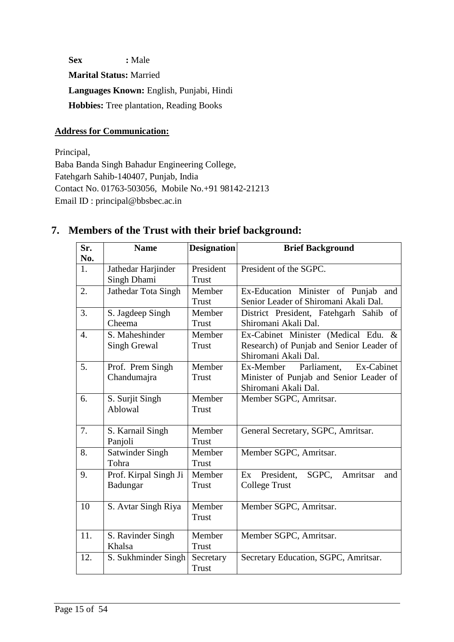**Sex :** Male **Marital Status:** Married **Languages Known:** English, Punjabi, Hindi **Hobbies:** Tree plantation, Reading Books

## **Address for Communication:**

Principal, Baba Banda Singh Bahadur Engineering College, Fatehgarh Sahib-140407, Punjab, India Contact No. 01763-503056, Mobile No.+91 98142-21213 Email ID : principal@bbsbec.ac.in

| Sr.              | <b>Name</b>            | <b>Designation</b> | <b>Brief Background</b>                  |
|------------------|------------------------|--------------------|------------------------------------------|
| No.              |                        |                    |                                          |
| 1.               | Jathedar Harjinder     | President          | President of the SGPC.                   |
|                  | Singh Dhami            | <b>Trust</b>       |                                          |
| 2.               | Jathedar Tota Singh    | Member             | Ex-Education Minister of Punjab and      |
|                  |                        | Trust              | Senior Leader of Shiromani Akali Dal.    |
| 3.               | S. Jagdeep Singh       | Member             | District President, Fatehgarh Sahib of   |
|                  | Cheema                 | Trust              | Shiromani Akali Dal.                     |
| $\overline{4}$ . | S. Maheshinder         | Member             | Ex-Cabinet Minister (Medical Edu. &      |
|                  | <b>Singh Grewal</b>    | <b>Trust</b>       | Research) of Punjab and Senior Leader of |
|                  |                        |                    | Shiromani Akali Dal.                     |
| 5.               | Prof. Prem Singh       | Member             | Ex-Cabinet<br>Ex-Member Parliament,      |
|                  | Chandumajra            | <b>Trust</b>       | Minister of Punjab and Senior Leader of  |
|                  |                        |                    | Shiromani Akali Dal.                     |
| 6.               | S. Surjit Singh        | Member             | Member SGPC, Amritsar.                   |
|                  | Ablowal                | <b>Trust</b>       |                                          |
|                  |                        |                    |                                          |
| 7.               | S. Karnail Singh       | Member             | General Secretary, SGPC, Amritsar.       |
|                  | Panjoli                | <b>Trust</b>       |                                          |
| 8.               | <b>Satwinder Singh</b> | Member             | Member SGPC, Amritsar.                   |
|                  | Tohra                  | <b>Trust</b>       |                                          |
| 9.               | Prof. Kirpal Singh Ji  | Member             | Ex President, SGPC, Amritsar<br>and      |
|                  | Badungar               | Trust              | <b>College Trust</b>                     |
| 10               | S. Avtar Singh Riya    | Member             | Member SGPC, Amritsar.                   |
|                  |                        | Trust              |                                          |
|                  |                        |                    |                                          |
| 11.              | S. Ravinder Singh      | Member             | Member SGPC, Amritsar.                   |
|                  | Khalsa                 | <b>Trust</b>       |                                          |
| 12.              | S. Sukhminder Singh    | Secretary          | Secretary Education, SGPC, Amritsar.     |
|                  |                        | <b>Trust</b>       |                                          |

# **7. Members of the Trust with their brief background:**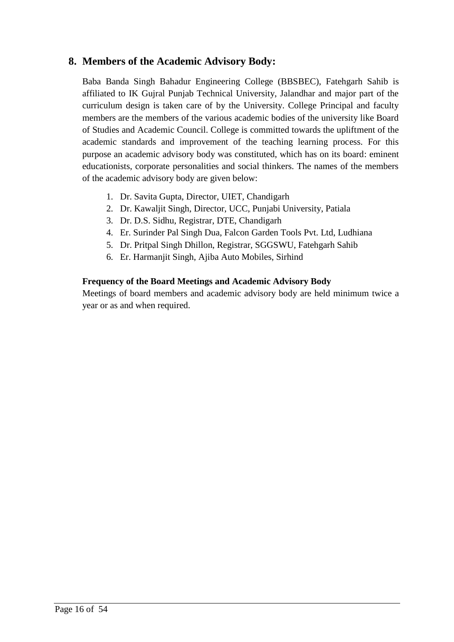# **8. Members of the Academic Advisory Body:**

Baba Banda Singh Bahadur Engineering College (BBSBEC), Fatehgarh Sahib is affiliated to IK Gujral Punjab Technical University, Jalandhar and major part of the curriculum design is taken care of by the University. College Principal and faculty members are the members of the various academic bodies of the university like Board of Studies and Academic Council. College is committed towards the upliftment of the academic standards and improvement of the teaching learning process. For this purpose an academic advisory body was constituted, which has on its board: eminent educationists, corporate personalities and social thinkers. The names of the members of the academic advisory body are given below:

- 1. Dr. Savita Gupta, Director, UIET, Chandigarh
- 2. Dr. Kawaljit Singh, Director, UCC, Punjabi University, Patiala
- 3. Dr. D.S. Sidhu, Registrar, DTE, Chandigarh
- 4. Er. Surinder Pal Singh Dua, Falcon Garden Tools Pvt. Ltd, Ludhiana
- 5. Dr. Pritpal Singh Dhillon, Registrar, SGGSWU, Fatehgarh Sahib
- 6. Er. Harmanjit Singh, Ajiba Auto Mobiles, Sirhind

## **Frequency of the Board Meetings and Academic Advisory Body**

Meetings of board members and academic advisory body are held minimum twice a year or as and when required.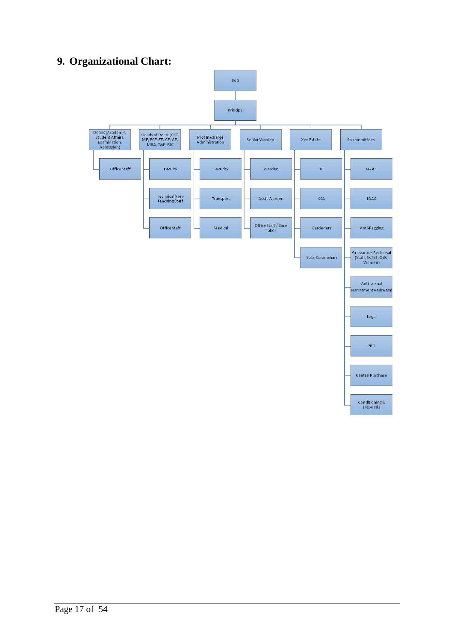# **9. Organizational Chart:**

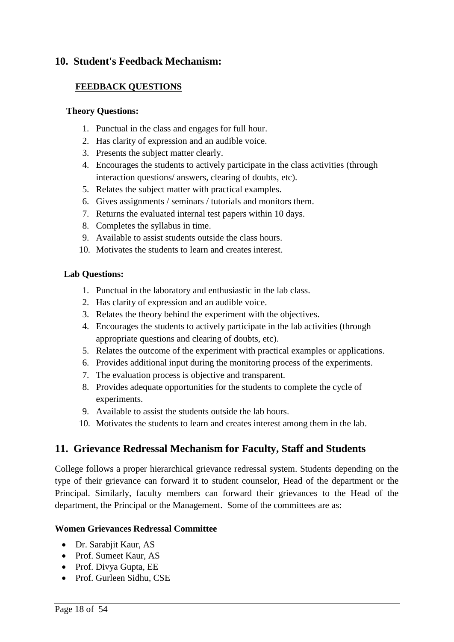## **10. Student's Feedback Mechanism:**

### **FEEDBACK QUESTIONS**

#### **Theory Questions:**

- 1. Punctual in the class and engages for full hour.
- 2. Has clarity of expression and an audible voice.
- 3. Presents the subject matter clearly.
- 4. Encourages the students to actively participate in the class activities (through interaction questions/ answers, clearing of doubts, etc).
- 5. Relates the subject matter with practical examples.
- 6. Gives assignments / seminars / tutorials and monitors them.
- 7. Returns the evaluated internal test papers within 10 days.
- 8. Completes the syllabus in time.
- 9. Available to assist students outside the class hours.
- 10. Motivates the students to learn and creates interest.

### **Lab Questions:**

- 1. Punctual in the laboratory and enthusiastic in the lab class.
- 2. Has clarity of expression and an audible voice.
- 3. Relates the theory behind the experiment with the objectives.
- 4. Encourages the students to actively participate in the lab activities (through appropriate questions and clearing of doubts, etc).
- 5. Relates the outcome of the experiment with practical examples or applications.
- 6. Provides additional input during the monitoring process of the experiments.
- 7. The evaluation process is objective and transparent.
- 8. Provides adequate opportunities for the students to complete the cycle of experiments.
- 9. Available to assist the students outside the lab hours.
- 10. Motivates the students to learn and creates interest among them in the lab.

# **11. Grievance Redressal Mechanism for Faculty, Staff and Students**

College follows a proper hierarchical grievance redressal system. Students depending on the type of their grievance can forward it to student counselor, Head of the department or the Principal. Similarly, faculty members can forward their grievances to the Head of the department, the Principal or the Management. Some of the committees are as:

## **Women Grievances Redressal Committee**

- Dr. Sarabjit Kaur, AS
- Prof. Sumeet Kaur, AS
- Prof. Divya Gupta, EE
- Prof. Gurleen Sidhu, CSE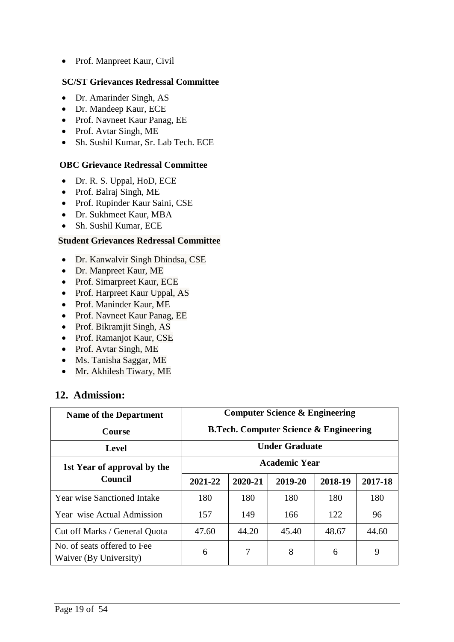• Prof. Manpreet Kaur, Civil

#### **SC/ST Grievances Redressal Committee**

- Dr. Amarinder Singh, AS
- Dr. Mandeep Kaur, ECE
- Prof. Navneet Kaur Panag, EE
- Prof. Avtar Singh, ME
- Sh. Sushil Kumar, Sr. Lab Tech. ECE

#### **OBC Grievance Redressal Committee**

- Dr. R. S. Uppal, HoD, ECE
- Prof. Balraj Singh, ME
- Prof. Rupinder Kaur Saini, CSE
- Dr. Sukhmeet Kaur, MBA
- Sh. Sushil Kumar, ECE

#### **Student Grievances Redressal Committee**

- Dr. Kanwalvir Singh Dhindsa, CSE
- Dr. Manpreet Kaur, ME
- Prof. Simarpreet Kaur, ECE
- Prof. Harpreet Kaur Uppal, AS
- Prof. Maninder Kaur, ME
- Prof. Navneet Kaur Panag, EE
- Prof. Bikramjit Singh, AS
- Prof. Ramanjot Kaur, CSE
- Prof. Avtar Singh, ME
- Ms. Tanisha Saggar, ME
- Mr. Akhilesh Tiwary, ME

## **12. Admission:**

| <b>Name of the Department</b>                         | <b>Computer Science &amp; Engineering</b>         |                      |         |         |         |  |
|-------------------------------------------------------|---------------------------------------------------|----------------------|---------|---------|---------|--|
| <b>Course</b>                                         | <b>B.Tech. Computer Science &amp; Engineering</b> |                      |         |         |         |  |
| <b>Level</b>                                          | <b>Under Graduate</b>                             |                      |         |         |         |  |
| 1st Year of approval by the                           |                                                   | <b>Academic Year</b> |         |         |         |  |
| Council                                               | 2021-22                                           | 2020-21              | 2019-20 | 2018-19 | 2017-18 |  |
| <b>Year wise Sanctioned Intake</b>                    | 180                                               | 180                  | 180     | 180     | 180     |  |
| Year wise Actual Admission                            | 157                                               | 149                  | 166     | 122     | 96      |  |
| Cut off Marks / General Quota                         | 47.60                                             | 44.20                | 45.40   | 48.67   | 44.60   |  |
| No. of seats offered to Fee<br>Waiver (By University) | 6                                                 | 7                    | 8       | 6       | 9       |  |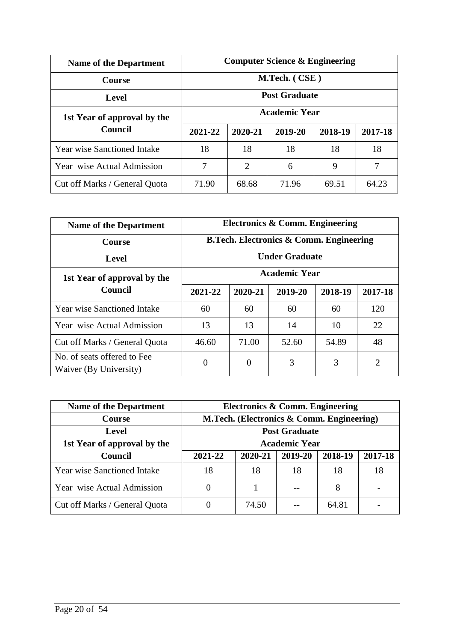| <b>Name of the Department</b>      | <b>Computer Science &amp; Engineering</b> |                |         |         |         |
|------------------------------------|-------------------------------------------|----------------|---------|---------|---------|
| <b>Course</b>                      | M.Tech. (CSE)                             |                |         |         |         |
| <b>Level</b>                       | <b>Post Graduate</b>                      |                |         |         |         |
| 1st Year of approval by the        | <b>Academic Year</b>                      |                |         |         |         |
| Council                            | 2021-22                                   | 2020-21        | 2019-20 | 2018-19 | 2017-18 |
| <b>Year wise Sanctioned Intake</b> | 18                                        | 18             | 18      | 18      | 18      |
| Year wise Actual Admission         | 7                                         | $\overline{2}$ | 6       | 9       | 7       |
| Cut off Marks / General Quota      | 71.90                                     | 68.68          | 71.96   | 69.51   | 64.23   |

| <b>Name of the Department</b>                         | Electronics & Comm. Engineering                    |                      |         |         |         |  |
|-------------------------------------------------------|----------------------------------------------------|----------------------|---------|---------|---------|--|
| <b>Course</b>                                         | <b>B.Tech. Electronics &amp; Comm. Engineering</b> |                      |         |         |         |  |
| <b>Level</b>                                          | <b>Under Graduate</b>                              |                      |         |         |         |  |
| 1st Year of approval by the                           |                                                    | <b>Academic Year</b> |         |         |         |  |
| Council                                               | 2021-22                                            | 2020-21              | 2019-20 | 2018-19 | 2017-18 |  |
| <b>Year wise Sanctioned Intake</b>                    | 60                                                 | 60                   | 60      | 60      | 120     |  |
| Year wise Actual Admission                            | 13                                                 | 13                   | 14      | 10      | 22      |  |
| Cut off Marks / General Quota                         | 46.60                                              | 71.00                | 52.60   | 54.89   | 48      |  |
| No. of seats offered to Fee<br>Waiver (By University) | $\overline{0}$                                     | $\overline{0}$       | 3       | 3       | 2       |  |

| <b>Name of the Department</b>      | Electronics & Comm. Engineering           |         |                      |         |         |
|------------------------------------|-------------------------------------------|---------|----------------------|---------|---------|
| <b>Course</b>                      | M.Tech. (Electronics & Comm. Engineering) |         |                      |         |         |
| Level                              | <b>Post Graduate</b>                      |         |                      |         |         |
| 1st Year of approval by the        |                                           |         | <b>Academic Year</b> |         |         |
| <b>Council</b>                     | 2021-22                                   | 2020-21 | 2019-20              | 2018-19 | 2017-18 |
| <b>Year wise Sanctioned Intake</b> | 18                                        | 18      | 18                   | 18      | 18      |
| Year wise Actual Admission         |                                           |         |                      | 8       |         |
| Cut off Marks / General Quota      |                                           | 74.50   |                      | 64.81   |         |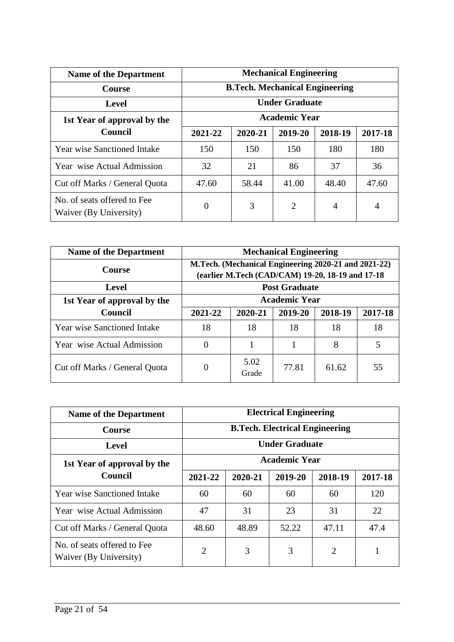| <b>Name of the Department</b>                         | <b>Mechanical Engineering</b><br><b>B.Tech. Mechanical Engineering</b><br><b>Under Graduate</b> |         |                |         |         |  |
|-------------------------------------------------------|-------------------------------------------------------------------------------------------------|---------|----------------|---------|---------|--|
| <b>Course</b>                                         |                                                                                                 |         |                |         |         |  |
| <b>Level</b>                                          |                                                                                                 |         |                |         |         |  |
| 1st Year of approval by the                           | <b>Academic Year</b>                                                                            |         |                |         |         |  |
| <b>Council</b>                                        | 2021-22                                                                                         | 2020-21 | 2019-20        | 2018-19 | 2017-18 |  |
| <b>Year wise Sanctioned Intake</b>                    | 150                                                                                             | 150     | 150            | 180     | 180     |  |
| Year wise Actual Admission                            | 32                                                                                              | 21      | 86             | 37      | 36      |  |
| Cut off Marks / General Quota                         | 47.60                                                                                           | 58.44   | 41.00          | 48.40   | 47.60   |  |
| No. of seats offered to Fee<br>Waiver (By University) | 0                                                                                               | 3       | $\overline{2}$ | 4       | 4       |  |

| <b>Name of the Department</b>      | <b>Mechanical Engineering</b>                                                                            |                      |                      |         |         |  |
|------------------------------------|----------------------------------------------------------------------------------------------------------|----------------------|----------------------|---------|---------|--|
| <b>Course</b>                      | M.Tech. (Mechanical Engineering 2020-21 and 2021-22)<br>(earlier M.Tech (CAD/CAM) 19-20, 18-19 and 17-18 |                      |                      |         |         |  |
| <b>Level</b>                       |                                                                                                          | <b>Post Graduate</b> |                      |         |         |  |
| 1st Year of approval by the        |                                                                                                          |                      | <b>Academic Year</b> |         |         |  |
| Council                            | 2021-22                                                                                                  | 2020-21              | 2019-20              | 2018-19 | 2017-18 |  |
| <b>Year wise Sanctioned Intake</b> | 18                                                                                                       | 18                   | 18                   | 18      | 18      |  |
| Year wise Actual Admission         | 0                                                                                                        |                      |                      | 8       | 5       |  |
| Cut off Marks / General Quota      |                                                                                                          | 5.02<br>Grade        | 77.81                | 61.62   | 55      |  |

| <b>Name of the Department</b>                         | <b>Electrical Engineering</b> |                                       |         |         |         |  |  |
|-------------------------------------------------------|-------------------------------|---------------------------------------|---------|---------|---------|--|--|
| <b>Course</b>                                         |                               | <b>B.Tech. Electrical Engineering</b> |         |         |         |  |  |
| Level                                                 |                               | <b>Under Graduate</b>                 |         |         |         |  |  |
| 1st Year of approval by the                           | <b>Academic Year</b>          |                                       |         |         |         |  |  |
| Council                                               | 2021-22                       | 2020-21                               | 2019-20 | 2018-19 | 2017-18 |  |  |
| <b>Year wise Sanctioned Intake</b>                    | 60                            | 60                                    | 60      | 60      | 120     |  |  |
| Year wise Actual Admission                            | 47                            | 31                                    | 23      | 31      | 22      |  |  |
| Cut off Marks / General Quota                         | 48.60                         | 48.89                                 | 52.22   | 47.11   | 47.4    |  |  |
| No. of seats offered to Fee<br>Waiver (By University) | $\overline{2}$                | 3                                     | 3       | 2       |         |  |  |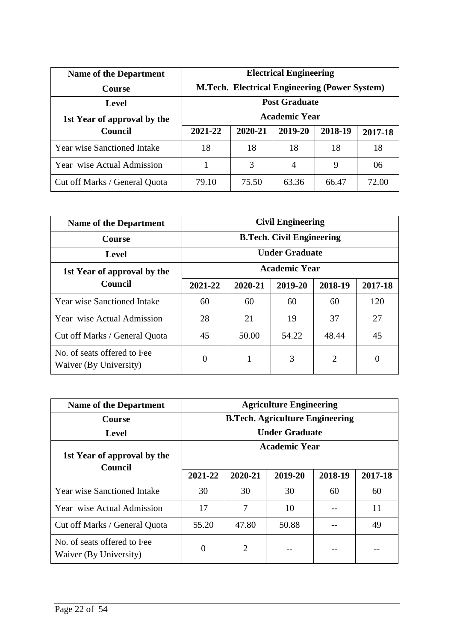| <b>Name of the Department</b>      | <b>Electrical Engineering</b>                        |         |         |         |         |
|------------------------------------|------------------------------------------------------|---------|---------|---------|---------|
| <b>Course</b>                      | <b>M.Tech. Electrical Engineering (Power System)</b> |         |         |         |         |
| Level                              | <b>Post Graduate</b>                                 |         |         |         |         |
| 1st Year of approval by the        | <b>Academic Year</b>                                 |         |         |         |         |
| <b>Council</b>                     | 2021-22                                              | 2020-21 | 2019-20 | 2018-19 | 2017-18 |
| <b>Year wise Sanctioned Intake</b> | 18                                                   | 18      | 18      | 18      | 18      |
| Year wise Actual Admission         |                                                      | 3       | 4       | 9       | 06      |
| Cut off Marks / General Quota      | 79.10                                                | 75.50   | 63.36   | 66.47   | 72.00   |

| <b>Name of the Department</b>                         | <b>Civil Engineering</b>         |                       |                      |         |         |  |
|-------------------------------------------------------|----------------------------------|-----------------------|----------------------|---------|---------|--|
| <b>Course</b>                                         | <b>B.Tech. Civil Engineering</b> |                       |                      |         |         |  |
| <b>Level</b>                                          |                                  | <b>Under Graduate</b> |                      |         |         |  |
| 1st Year of approval by the                           |                                  |                       | <b>Academic Year</b> |         |         |  |
| Council                                               | 2021-22                          | 2020-21               | 2019-20              | 2018-19 | 2017-18 |  |
| <b>Year wise Sanctioned Intake</b>                    | 60                               | 60                    | 60                   | 60      | 120     |  |
| Year wise Actual Admission                            | 28                               | 21                    | 19                   | 37      | 27      |  |
| Cut off Marks / General Quota                         | 45                               | 50.00                 | 54.22                | 48.44   | 45      |  |
| No. of seats offered to Fee<br>Waiver (By University) | $\overline{0}$                   | 1                     | 3                    | 2       | 0       |  |

| <b>Name of the Department</b>                         | <b>Agriculture Engineering</b> |                                        |                       |         |         |  |
|-------------------------------------------------------|--------------------------------|----------------------------------------|-----------------------|---------|---------|--|
| <b>Course</b>                                         |                                | <b>B.Tech. Agriculture Engineering</b> |                       |         |         |  |
| <b>Level</b>                                          |                                |                                        | <b>Under Graduate</b> |         |         |  |
| 1st Year of approval by the<br><b>Council</b>         | Academic Year                  |                                        |                       |         |         |  |
|                                                       | 2021-22                        | 2020-21                                | 2019-20               | 2018-19 | 2017-18 |  |
| <b>Year wise Sanctioned Intake</b>                    | 30                             | 30                                     | 30                    | 60      | 60      |  |
| Year wise Actual Admission                            | 17                             | 7                                      | 10                    |         | 11      |  |
| Cut off Marks / General Quota                         | 55.20                          | 47.80                                  | 50.88                 |         | 49      |  |
| No. of seats offered to Fee<br>Waiver (By University) | $\Omega$                       | 2                                      |                       |         |         |  |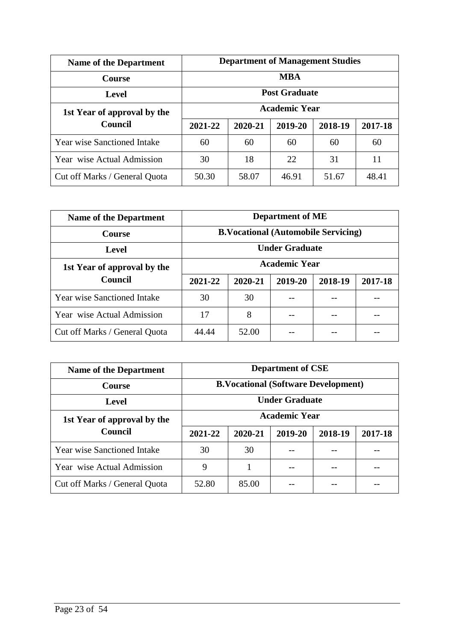| <b>Name of the Department</b> | <b>Department of Management Studies</b> |                      |         |         |         |  |  |
|-------------------------------|-----------------------------------------|----------------------|---------|---------|---------|--|--|
| <b>Course</b>                 | <b>MBA</b>                              |                      |         |         |         |  |  |
| <b>Level</b>                  |                                         | <b>Post Graduate</b> |         |         |         |  |  |
| 1st Year of approval by the   |                                         | <b>Academic Year</b> |         |         |         |  |  |
| Council                       | 2021-22                                 | 2020-21              | 2019-20 | 2018-19 | 2017-18 |  |  |
| Year wise Sanctioned Intake   | 60                                      | 60                   | 60      | 60      | 60      |  |  |
| Year wise Actual Admission    | 30                                      | 18                   | 22      | 31      | 11      |  |  |
| Cut off Marks / General Quota | 50.30                                   | 58.07                | 46.91   | 51.67   | 48.41   |  |  |

| <b>Name of the Department</b>      | <b>Department of ME</b>                    |                       |         |         |         |  |  |
|------------------------------------|--------------------------------------------|-----------------------|---------|---------|---------|--|--|
| <b>Course</b>                      | <b>B.Vocational (Automobile Servicing)</b> |                       |         |         |         |  |  |
| Level                              |                                            | <b>Under Graduate</b> |         |         |         |  |  |
| 1st Year of approval by the        |                                            | <b>Academic Year</b>  |         |         |         |  |  |
| Council                            | 2021-22                                    | 2020-21               | 2019-20 | 2018-19 | 2017-18 |  |  |
| <b>Year wise Sanctioned Intake</b> | 30                                         | 30                    |         |         |         |  |  |
| Year wise Actual Admission         | 17                                         | 8                     |         |         |         |  |  |
| Cut off Marks / General Quota      | 44.44                                      | 52.00                 |         |         |         |  |  |

| <b>Name of the Department</b> | <b>Department of CSE</b>                   |         |         |         |         |  |
|-------------------------------|--------------------------------------------|---------|---------|---------|---------|--|
| <b>Course</b>                 | <b>B.Vocational (Software Development)</b> |         |         |         |         |  |
| Level                         | <b>Under Graduate</b>                      |         |         |         |         |  |
| 1st Year of approval by the   | <b>Academic Year</b>                       |         |         |         |         |  |
| <b>Council</b>                | 2021-22                                    | 2020-21 | 2019-20 | 2018-19 | 2017-18 |  |
| Year wise Sanctioned Intake   | 30                                         | 30      |         |         |         |  |
| Year wise Actual Admission    | 9                                          |         |         |         |         |  |
| Cut off Marks / General Quota | 52.80                                      | 85.00   |         |         |         |  |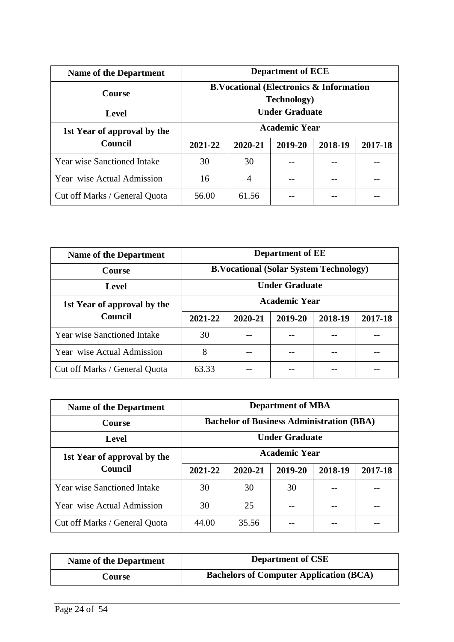| <b>Name of the Department</b>      | <b>Department of ECE</b>                                                  |                       |         |         |         |  |
|------------------------------------|---------------------------------------------------------------------------|-----------------------|---------|---------|---------|--|
| <b>Course</b>                      | <b>B.Vocational (Electronics &amp; Information</b><br><b>Technology</b> ) |                       |         |         |         |  |
| <b>Level</b>                       |                                                                           | <b>Under Graduate</b> |         |         |         |  |
| 1st Year of approval by the        | <b>Academic Year</b>                                                      |                       |         |         |         |  |
| Council                            | 2021-22                                                                   | 2020-21               | 2019-20 | 2018-19 | 2017-18 |  |
| <b>Year wise Sanctioned Intake</b> | 30                                                                        | 30                    |         |         |         |  |
| Year wise Actual Admission         | 16                                                                        | 4                     |         |         |         |  |
| Cut off Marks / General Quota      | 56.00                                                                     | 61.56                 |         |         |         |  |

| <b>Name of the Department</b>          | <b>Department of EE</b>                       |         |         |         |         |  |
|----------------------------------------|-----------------------------------------------|---------|---------|---------|---------|--|
| <b>Course</b>                          | <b>B.Vocational (Solar System Technology)</b> |         |         |         |         |  |
| <b>Level</b>                           | <b>Under Graduate</b>                         |         |         |         |         |  |
| 1st Year of approval by the<br>Council | <b>Academic Year</b>                          |         |         |         |         |  |
|                                        | 2021-22                                       | 2020-21 | 2019-20 | 2018-19 | 2017-18 |  |
| <b>Year wise Sanctioned Intake</b>     | 30                                            |         |         |         |         |  |
| Year wise Actual Admission             | 8                                             |         |         |         |         |  |
| Cut off Marks / General Quota          | 63.33                                         |         |         |         |         |  |

| <b>Name of the Department</b>      | <b>Department of MBA</b> |                                                  |         |         |         |  |
|------------------------------------|--------------------------|--------------------------------------------------|---------|---------|---------|--|
| <b>Course</b>                      |                          | <b>Bachelor of Business Administration (BBA)</b> |         |         |         |  |
| Level                              |                          | <b>Under Graduate</b>                            |         |         |         |  |
| 1st Year of approval by the        | <b>Academic Year</b>     |                                                  |         |         |         |  |
| Council                            | 2021-22                  | 2020-21                                          | 2019-20 | 2018-19 | 2017-18 |  |
| <b>Year wise Sanctioned Intake</b> | 30                       | 30                                               | 30      |         |         |  |
| Year wise Actual Admission         | 30                       | 25                                               |         |         |         |  |
| Cut off Marks / General Quota      | 44.00                    | 35.56                                            |         |         |         |  |

| <b>Name of the Department</b> | <b>Department of CSE</b>                       |
|-------------------------------|------------------------------------------------|
| Course                        | <b>Bachelors of Computer Application (BCA)</b> |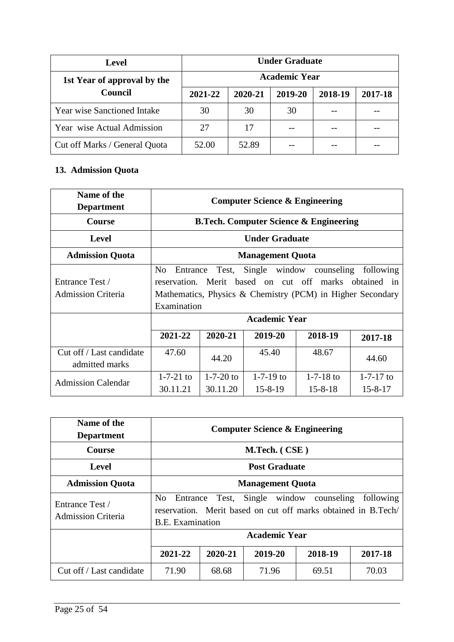| <b>Level</b>                       | <b>Under Graduate</b> |         |         |         |         |  |  |
|------------------------------------|-----------------------|---------|---------|---------|---------|--|--|
| 1st Year of approval by the        | <b>Academic Year</b>  |         |         |         |         |  |  |
| <b>Council</b>                     | 2021-22               | 2020-21 | 2019-20 | 2018-19 | 2017-18 |  |  |
| <b>Year wise Sanctioned Intake</b> | 30                    | 30      | 30      |         |         |  |  |
| Year wise Actual Admission         | 27                    | 17      |         |         |         |  |  |
| Cut off Marks / General Quota      | 52.00                 | 52.89   |         |         |         |  |  |

## **13. Admission Quota**

| Name of the<br><b>Department</b>             | <b>Computer Science &amp; Engineering</b> |                                                                                                                                                                                            |                                  |                                                   |                                  |
|----------------------------------------------|-------------------------------------------|--------------------------------------------------------------------------------------------------------------------------------------------------------------------------------------------|----------------------------------|---------------------------------------------------|----------------------------------|
| <b>Course</b>                                |                                           |                                                                                                                                                                                            |                                  | <b>B.Tech. Computer Science &amp; Engineering</b> |                                  |
| <b>Level</b>                                 |                                           |                                                                                                                                                                                            | <b>Under Graduate</b>            |                                                   |                                  |
| <b>Admission Quota</b>                       |                                           | <b>Management Quota</b>                                                                                                                                                                    |                                  |                                                   |                                  |
| Entrance Test /<br><b>Admission Criteria</b> | N <sub>0</sub>                            | Entrance Test, Single window counseling<br>following<br>reservation. Merit based on cut off marks obtained in<br>Mathematics, Physics & Chemistry (PCM) in Higher Secondary<br>Examination |                                  |                                                   |                                  |
|                                              |                                           | <b>Academic Year</b>                                                                                                                                                                       |                                  |                                                   |                                  |
|                                              | 2021-22                                   | 2020-21                                                                                                                                                                                    | 2019-20                          | 2018-19                                           | 2017-18                          |
| Cut off / Last candidate<br>admitted marks   | 47.60                                     | 44.20                                                                                                                                                                                      | 45.40                            | 48.67                                             | 44.60                            |
| <b>Admission Calendar</b>                    | $1 - 7 - 21$ to<br>30.11.21               | $1 - 7 - 20$ to<br>30.11.20                                                                                                                                                                | $1 - 7 - 19$ to<br>$15 - 8 - 19$ | $1 - 7 - 18$ to<br>$15 - 8 - 18$                  | $1 - 7 - 17$ to<br>$15 - 8 - 17$ |

| Name of the<br><b>Department</b>             | <b>Computer Science &amp; Engineering</b>             |               |         |                                                                                           |           |
|----------------------------------------------|-------------------------------------------------------|---------------|---------|-------------------------------------------------------------------------------------------|-----------|
| <b>Course</b>                                |                                                       | M.Tech. (CSE) |         |                                                                                           |           |
| Level                                        | <b>Post Graduate</b>                                  |               |         |                                                                                           |           |
| <b>Admission Quota</b>                       | <b>Management Quota</b>                               |               |         |                                                                                           |           |
| Entrance Test /<br><b>Admission Criteria</b> | N <sub>0</sub><br>Entrance<br><b>B.E.</b> Examination | Test,         |         | Single window counseling<br>reservation. Merit based on cut off marks obtained in B.Tech/ | following |
|                                              | <b>Academic Year</b>                                  |               |         |                                                                                           |           |
|                                              | 2021-22                                               | 2020-21       | 2019-20 | 2018-19                                                                                   | 2017-18   |
| Cut off / Last candidate                     | 71.90                                                 | 68.68         | 71.96   | 69.51                                                                                     | 70.03     |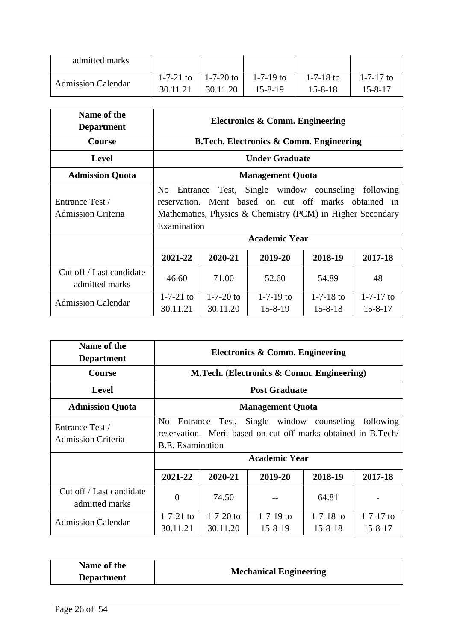| admitted marks            |          |                       |               |                 |                 |
|---------------------------|----------|-----------------------|---------------|-----------------|-----------------|
|                           |          | 1-7-21 to   1-7-20 to | $1-7-19$ to   | $1 - 7 - 18$ to | $1 - 7 - 17$ to |
| <b>Admission Calendar</b> | 30.11.21 | 30.11.20              | $15 - 8 - 19$ | $15 - 8 - 18$   | 15-8-17         |

| Name of the<br><b>Department</b>             | <b>Electronics &amp; Comm. Engineering</b>                                                                                                                                                                            |                             |                                                    |                                  |                                  |
|----------------------------------------------|-----------------------------------------------------------------------------------------------------------------------------------------------------------------------------------------------------------------------|-----------------------------|----------------------------------------------------|----------------------------------|----------------------------------|
| <b>Course</b>                                |                                                                                                                                                                                                                       |                             | <b>B.Tech. Electronics &amp; Comm. Engineering</b> |                                  |                                  |
| <b>Level</b>                                 |                                                                                                                                                                                                                       |                             | <b>Under Graduate</b>                              |                                  |                                  |
| <b>Admission Quota</b>                       |                                                                                                                                                                                                                       | <b>Management Quota</b>     |                                                    |                                  |                                  |
| Entrance Test /<br><b>Admission Criteria</b> | Single window counseling<br>following<br>N <sub>0</sub><br>Test,<br>Entrance<br>Merit based on cut off marks obtained in<br>reservation.<br>Mathematics, Physics & Chemistry (PCM) in Higher Secondary<br>Examination |                             |                                                    |                                  |                                  |
|                                              | <b>Academic Year</b>                                                                                                                                                                                                  |                             |                                                    |                                  |                                  |
|                                              | 2021-22                                                                                                                                                                                                               | 2020-21                     | 2019-20                                            | 2018-19                          | 2017-18                          |
| Cut off / Last candidate<br>admitted marks   | 46.60                                                                                                                                                                                                                 | 71.00                       | 52.60                                              | 54.89                            | 48                               |
| <b>Admission Calendar</b>                    | $1 - 7 - 21$ to<br>30.11.21                                                                                                                                                                                           | $1 - 7 - 20$ to<br>30.11.20 | $1 - 7 - 19$ to<br>$15 - 8 - 19$                   | $1 - 7 - 18$ to<br>$15 - 8 - 18$ | $1 - 7 - 17$ to<br>$15 - 8 - 17$ |

| Name of the<br><b>Department</b>             | Electronics & Comm. Engineering                       |                       |                                                                                                                   |                                  |                                  |
|----------------------------------------------|-------------------------------------------------------|-----------------------|-------------------------------------------------------------------------------------------------------------------|----------------------------------|----------------------------------|
| <b>Course</b>                                |                                                       |                       | M.Tech. (Electronics & Comm. Engineering)                                                                         |                                  |                                  |
| <b>Level</b>                                 |                                                       | <b>Post Graduate</b>  |                                                                                                                   |                                  |                                  |
| <b>Admission Quota</b>                       | <b>Management Quota</b>                               |                       |                                                                                                                   |                                  |                                  |
| Entrance Test /<br><b>Admission Criteria</b> | N <sub>0</sub><br>Entrance<br><b>B.E.</b> Examination | Test,                 | Single window counseling<br>reservation. Merit based on cut off marks obtained in B.Tech/<br><b>Academic Year</b> |                                  | following                        |
|                                              | 2021-22                                               | 2020-21               | 2019-20                                                                                                           | 2018-19                          | 2017-18                          |
| Cut off / Last candidate<br>admitted marks   | $\Omega$                                              | 74.50                 |                                                                                                                   | 64.81                            |                                  |
| <b>Admission Calendar</b>                    | $1 - 7 - 21$ to<br>30.11.21                           | 1-7-20 to<br>30.11.20 | $1 - 7 - 19$ to<br>$15 - 8 - 19$                                                                                  | $1 - 7 - 18$ to<br>$15 - 8 - 18$ | $1 - 7 - 17$ to<br>$15 - 8 - 17$ |

| Name of the       | <b>Mechanical Engineering</b> |
|-------------------|-------------------------------|
| <b>Department</b> |                               |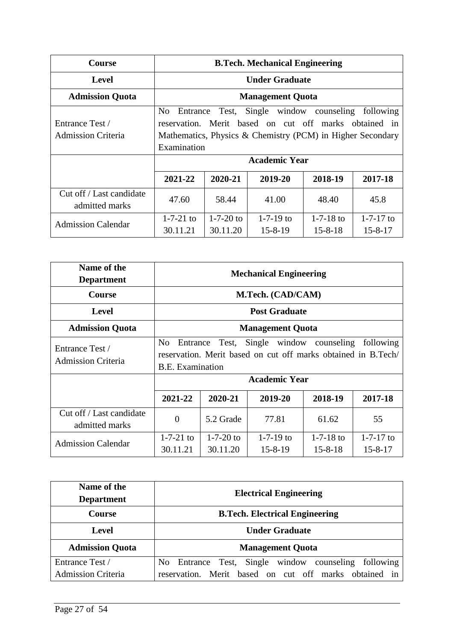| <b>Course</b>                                | <b>B.Tech. Mechanical Engineering</b>                                                                                                                                                                                 |                             |                                  |                                  |                                  |
|----------------------------------------------|-----------------------------------------------------------------------------------------------------------------------------------------------------------------------------------------------------------------------|-----------------------------|----------------------------------|----------------------------------|----------------------------------|
| Level                                        |                                                                                                                                                                                                                       | <b>Under Graduate</b>       |                                  |                                  |                                  |
| <b>Admission Quota</b>                       |                                                                                                                                                                                                                       |                             | <b>Management Quota</b>          |                                  |                                  |
| Entrance Test /<br><b>Admission Criteria</b> | Single window counseling<br>N <sub>0</sub><br>following<br>Test,<br>Entrance<br>Merit based on cut off marks obtained in<br>reservation.<br>Mathematics, Physics & Chemistry (PCM) in Higher Secondary<br>Examination |                             |                                  |                                  |                                  |
|                                              | <b>Academic Year</b>                                                                                                                                                                                                  |                             |                                  |                                  |                                  |
|                                              | 2021-22                                                                                                                                                                                                               | 2020-21                     | 2019-20                          | 2018-19                          | 2017-18                          |
| Cut off / Last candidate<br>admitted marks   | 47.60                                                                                                                                                                                                                 | 58.44                       | 41.00                            | 48.40                            | 45.8                             |
| <b>Admission Calendar</b>                    | $1 - 7 - 21$ to<br>30.11.21                                                                                                                                                                                           | $1 - 7 - 20$ to<br>30.11.20 | $1 - 7 - 19$ to<br>$15 - 8 - 19$ | $1 - 7 - 18$ to<br>$15 - 8 - 18$ | $1 - 7 - 17$ to<br>$15 - 8 - 17$ |

| Name of the<br><b>Department</b>             | <b>Mechanical Engineering</b>                                                                                                                                                                    |                       |                              |                                  |                                  |
|----------------------------------------------|--------------------------------------------------------------------------------------------------------------------------------------------------------------------------------------------------|-----------------------|------------------------------|----------------------------------|----------------------------------|
| <b>Course</b>                                |                                                                                                                                                                                                  | M.Tech. (CAD/CAM)     |                              |                                  |                                  |
| Level                                        |                                                                                                                                                                                                  |                       | <b>Post Graduate</b>         |                                  |                                  |
| <b>Admission Quota</b>                       | <b>Management Quota</b>                                                                                                                                                                          |                       |                              |                                  |                                  |
| Entrance Test /<br><b>Admission Criteria</b> | Single window counseling<br>following<br>N <sub>0</sub><br>Entrance<br>Test,<br>reservation. Merit based on cut off marks obtained in B.Tech/<br><b>B.E.</b> Examination<br><b>Academic Year</b> |                       |                              |                                  |                                  |
|                                              | 2021-22                                                                                                                                                                                          | 2020-21               | 2019-20                      | 2018-19                          | 2017-18                          |
| Cut off / Last candidate<br>admitted marks   | $\Omega$                                                                                                                                                                                         | 5.2 Grade             | 77.81                        | 61.62                            | 55                               |
| <b>Admission Calendar</b>                    | $1 - 7 - 21$ to<br>30.11.21                                                                                                                                                                      | 1-7-20 to<br>30.11.20 | $1-7-19$ to<br>$15 - 8 - 19$ | $1 - 7 - 18$ to<br>$15 - 8 - 18$ | $1 - 7 - 17$ to<br>$15 - 8 - 17$ |

| Name of the<br><b>Department</b> | <b>Electrical Engineering</b>                                        |  |  |
|----------------------------------|----------------------------------------------------------------------|--|--|
| <b>Course</b>                    | <b>B.Tech. Electrical Engineering</b>                                |  |  |
| Level                            | <b>Under Graduate</b>                                                |  |  |
| <b>Admission Quota</b>           | <b>Management Quota</b>                                              |  |  |
| Entrance Test /                  | No Entrance Test, Single window counseling<br>following              |  |  |
| <b>Admission Criteria</b>        | reservation. Merit based on cut off marks obtained<br>$\overline{1}$ |  |  |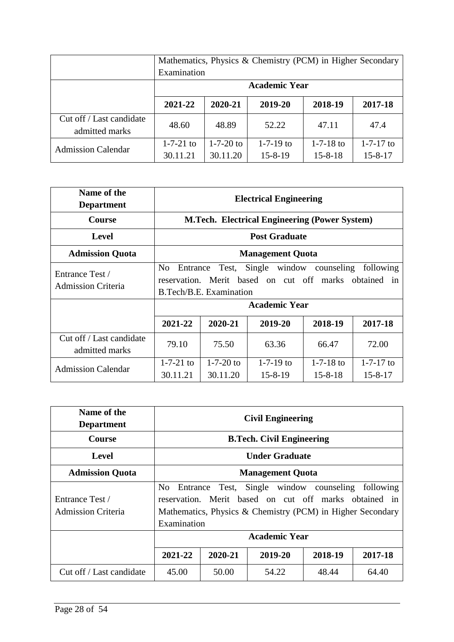|                                            | Mathematics, Physics & Chemistry (PCM) in Higher Secondary |                             |                                  |                                  |                                  |
|--------------------------------------------|------------------------------------------------------------|-----------------------------|----------------------------------|----------------------------------|----------------------------------|
|                                            | Examination                                                |                             |                                  |                                  |                                  |
|                                            | <b>Academic Year</b>                                       |                             |                                  |                                  |                                  |
|                                            | 2021-22                                                    | 2020-21                     | 2019-20                          | 2018-19                          | 2017-18                          |
| Cut off / Last candidate<br>admitted marks | 48.60                                                      | 48.89                       | 52.22                            | 47.11                            | 47.4                             |
| <b>Admission Calendar</b>                  | $1 - 7 - 21$ to<br>30.11.21                                | $1 - 7 - 20$ to<br>30.11.20 | $1 - 7 - 19$ to<br>$15 - 8 - 19$ | $1 - 7 - 18$ to<br>$15 - 8 - 18$ | $1 - 7 - 17$ to<br>$15 - 8 - 17$ |

| Name of the<br><b>Department</b>             | <b>Electrical Engineering</b>                                                                                                                                                            |                                                      |                              |                            |                                  |  |  |
|----------------------------------------------|------------------------------------------------------------------------------------------------------------------------------------------------------------------------------------------|------------------------------------------------------|------------------------------|----------------------------|----------------------------------|--|--|
| <b>Course</b>                                |                                                                                                                                                                                          | <b>M.Tech. Electrical Engineering (Power System)</b> |                              |                            |                                  |  |  |
| <b>Level</b>                                 | <b>Post Graduate</b>                                                                                                                                                                     |                                                      |                              |                            |                                  |  |  |
| <b>Admission Quota</b>                       | <b>Management Quota</b>                                                                                                                                                                  |                                                      |                              |                            |                                  |  |  |
| Entrance Test /<br><b>Admission Criteria</b> | Single window counseling<br>following<br>N <sub>0</sub><br>Test,<br>Entrance<br>reservation. Merit based on cut off marks obtained in<br>B.Tech/B.E. Examination<br><b>Academic Year</b> |                                                      |                              |                            |                                  |  |  |
|                                              | 2021-22                                                                                                                                                                                  | 2020-21                                              | 2019-20                      | 2018-19                    | 2017-18                          |  |  |
| Cut off / Last candidate<br>admitted marks   | 79.10                                                                                                                                                                                    | 75.50                                                | 63.36                        | 66.47                      | 72.00                            |  |  |
| <b>Admission Calendar</b>                    | $1-7-21$ to<br>30.11.21                                                                                                                                                                  | 1-7-20 to<br>30.11.20                                | $1-7-19$ to<br>$15 - 8 - 19$ | 1-7-18 to<br>$15 - 8 - 18$ | $1 - 7 - 17$ to<br>$15 - 8 - 17$ |  |  |

| Name of the<br><b>Department</b>             | <b>Civil Engineering</b>                                                                                                                                                                          |                                          |       |       |       |  |  |
|----------------------------------------------|---------------------------------------------------------------------------------------------------------------------------------------------------------------------------------------------------|------------------------------------------|-------|-------|-------|--|--|
| <b>Course</b>                                |                                                                                                                                                                                                   | <b>B.Tech. Civil Engineering</b>         |       |       |       |  |  |
| <b>Level</b>                                 | <b>Under Graduate</b>                                                                                                                                                                             |                                          |       |       |       |  |  |
| <b>Admission Quota</b>                       | <b>Management Quota</b>                                                                                                                                                                           |                                          |       |       |       |  |  |
| Entrance Test /<br><b>Admission Criteria</b> | Single window counseling following<br>No.<br>Entrance Test,<br>reservation. Merit based on cut off marks obtained in<br>Mathematics, Physics & Chemistry (PCM) in Higher Secondary<br>Examination |                                          |       |       |       |  |  |
|                                              | Academic Year                                                                                                                                                                                     |                                          |       |       |       |  |  |
|                                              | 2021-22                                                                                                                                                                                           | 2019-20<br>2018-19<br>2017-18<br>2020-21 |       |       |       |  |  |
| Cut off / Last candidate                     | 45.00                                                                                                                                                                                             | 50.00                                    | 54.22 | 48.44 | 64.40 |  |  |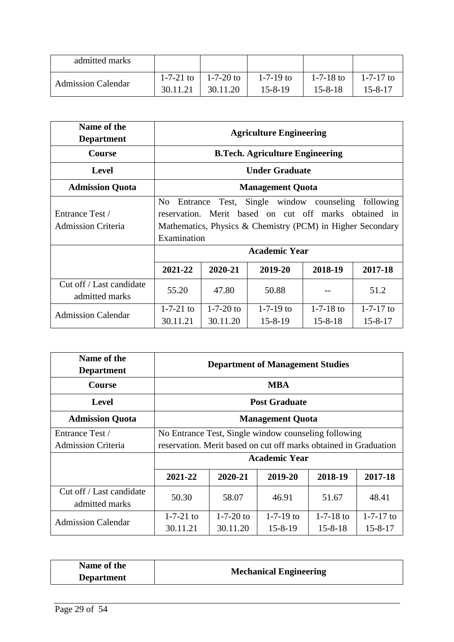| admitted marks            |                       |             |               |                 |             |
|---------------------------|-----------------------|-------------|---------------|-----------------|-------------|
|                           | 1-7-21 to $\parallel$ | $1-7-20$ to | $1-7-19$ to   | $1 - 7 - 18$ to | $1-7-17$ to |
| <b>Admission Calendar</b> | 30.11.21              | 30.11.20    | $15 - 8 - 19$ | $15 - 8 - 18$   | 15-8-17     |

| Name of the<br><b>Department</b>             | <b>Agriculture Engineering</b> |                                                                                                                                                                                                                          |                                        |                                  |                                  |
|----------------------------------------------|--------------------------------|--------------------------------------------------------------------------------------------------------------------------------------------------------------------------------------------------------------------------|----------------------------------------|----------------------------------|----------------------------------|
| <b>Course</b>                                |                                |                                                                                                                                                                                                                          | <b>B.Tech. Agriculture Engineering</b> |                                  |                                  |
| <b>Level</b>                                 |                                |                                                                                                                                                                                                                          | <b>Under Graduate</b>                  |                                  |                                  |
| <b>Admission Quota</b>                       | <b>Management Quota</b>        |                                                                                                                                                                                                                          |                                        |                                  |                                  |
| Entrance Test /<br><b>Admission Criteria</b> | N <sub>0</sub>                 | Single window counseling<br>following<br>Test,<br>Entrance<br>reservation. Merit based on cut off marks obtained in<br>Mathematics, Physics & Chemistry (PCM) in Higher Secondary<br>Examination<br><b>Academic Year</b> |                                        |                                  |                                  |
|                                              | 2021-22                        | 2020-21                                                                                                                                                                                                                  | 2019-20                                | 2018-19                          | 2017-18                          |
| Cut off / Last candidate<br>admitted marks   | 55.20                          | 47.80                                                                                                                                                                                                                    | 50.88                                  |                                  | 51.2                             |
| <b>Admission Calendar</b>                    | $1 - 7 - 21$ to<br>30.11.21    | $1 - 7 - 20$ to<br>30.11.20                                                                                                                                                                                              | $1 - 7 - 19$ to<br>$15 - 8 - 19$       | $1 - 7 - 18$ to<br>$15 - 8 - 18$ | $1 - 7 - 17$ to<br>$15 - 8 - 17$ |

| Name of the<br><b>Department</b>           | <b>Department of Management Studies</b>                          |           |                      |                 |                 |
|--------------------------------------------|------------------------------------------------------------------|-----------|----------------------|-----------------|-----------------|
| <b>Course</b>                              |                                                                  |           | <b>MBA</b>           |                 |                 |
| <b>Level</b>                               |                                                                  |           | <b>Post Graduate</b> |                 |                 |
| <b>Admission Quota</b>                     | <b>Management Quota</b>                                          |           |                      |                 |                 |
| Entrance Test /                            | No Entrance Test, Single window counseling following             |           |                      |                 |                 |
| <b>Admission Criteria</b>                  | reservation. Merit based on cut off marks obtained in Graduation |           |                      |                 |                 |
|                                            | <b>Academic Year</b>                                             |           |                      |                 |                 |
|                                            | 2021-22                                                          | 2020-21   | 2019-20              | 2018-19         | 2017-18         |
| Cut off / Last candidate<br>admitted marks | 50.30                                                            | 58.07     | 46.91                | 51.67           | 48.41           |
| <b>Admission Calendar</b>                  | $1 - 7 - 21$ to                                                  | 1-7-20 to | $1 - 7 - 19$ to      | $1 - 7 - 18$ to | $1 - 7 - 17$ to |
|                                            | 30.11.21                                                         | 30.11.20  | $15 - 8 - 19$        | $15 - 8 - 18$   | $15 - 8 - 17$   |

| Name of the       | <b>Mechanical Engineering</b> |
|-------------------|-------------------------------|
| <b>Department</b> |                               |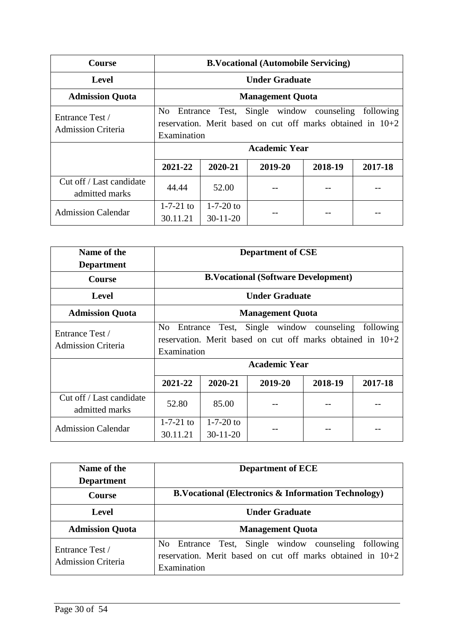| <b>Course</b>                              | <b>B.Vocational (Automobile Servicing)</b>                                                                                                                                    |                               |         |         |         |  |
|--------------------------------------------|-------------------------------------------------------------------------------------------------------------------------------------------------------------------------------|-------------------------------|---------|---------|---------|--|
| Level                                      |                                                                                                                                                                               | <b>Under Graduate</b>         |         |         |         |  |
| <b>Admission Quota</b>                     |                                                                                                                                                                               | <b>Management Quota</b>       |         |         |         |  |
| Entrance Test /<br>Admission Criteria      | Entrance Test, Single window counseling<br>following<br>N <sub>0</sub><br>reservation. Merit based on cut off marks obtained in $10+2$<br>Examination<br><b>Academic Year</b> |                               |         |         |         |  |
|                                            |                                                                                                                                                                               |                               |         |         |         |  |
|                                            | 2021-22                                                                                                                                                                       | 2020-21                       | 2019-20 | 2018-19 | 2017-18 |  |
| Cut off / Last candidate<br>admitted marks | 44.44                                                                                                                                                                         | 52.00                         |         |         |         |  |
| <b>Admission Calendar</b>                  | $1 - 7 - 21$ to<br>30.11.21                                                                                                                                                   | $1 - 7 - 20$ to<br>$30-11-20$ |         |         |         |  |

| Name of the<br><b>Department</b>             |                                                                                                                                                                                     |                           | <b>Department of CSE</b> |         |         |
|----------------------------------------------|-------------------------------------------------------------------------------------------------------------------------------------------------------------------------------------|---------------------------|--------------------------|---------|---------|
| <b>Course</b>                                | <b>B.Vocational (Software Development)</b>                                                                                                                                          |                           |                          |         |         |
| <b>Level</b>                                 | <b>Under Graduate</b>                                                                                                                                                               |                           |                          |         |         |
| <b>Admission Quota</b>                       | <b>Management Quota</b>                                                                                                                                                             |                           |                          |         |         |
| Entrance Test /<br><b>Admission Criteria</b> | N <sub>0</sub><br>Single window counseling<br>following<br>Test,<br>Entrance<br>reservation. Merit based on cut off marks obtained in $10+2$<br>Examination<br><b>Academic Year</b> |                           |                          |         |         |
|                                              | 2021-22                                                                                                                                                                             | 2020-21                   | 2019-20                  | 2018-19 | 2017-18 |
| Cut off / Last candidate<br>admitted marks   | 52.80                                                                                                                                                                               | 85.00                     |                          |         |         |
| <b>Admission Calendar</b>                    | 1-7-21 to<br>30.11.21                                                                                                                                                               | $1-7-20$ to<br>$30-11-20$ |                          |         |         |

| Name of the                                  | <b>Department of ECE</b>                                                                                                               |
|----------------------------------------------|----------------------------------------------------------------------------------------------------------------------------------------|
| <b>Department</b>                            |                                                                                                                                        |
| <b>Course</b>                                | <b>B.Vocational (Electronics &amp; Information Technology)</b>                                                                         |
| Level                                        | <b>Under Graduate</b>                                                                                                                  |
| <b>Admission Quota</b>                       | <b>Management Quota</b>                                                                                                                |
| Entrance Test /<br><b>Admission Criteria</b> | No Entrance Test, Single window counseling<br>following<br>reservation. Merit based on cut off marks obtained in $10+2$<br>Examination |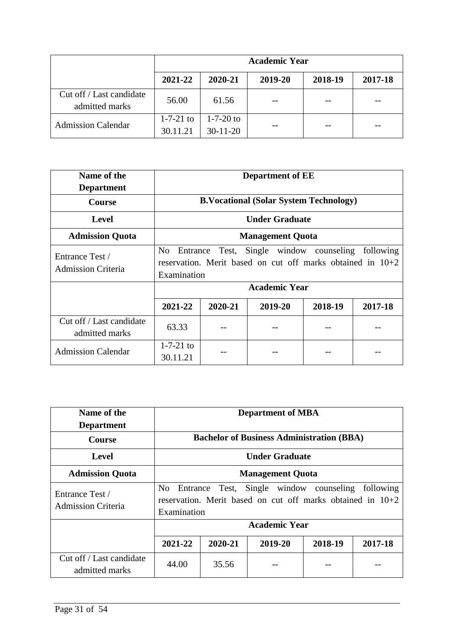|                                            | <b>Academic Year</b>        |                               |         |         |         |
|--------------------------------------------|-----------------------------|-------------------------------|---------|---------|---------|
|                                            | 2021-22                     | 2020-21                       | 2019-20 | 2018-19 | 2017-18 |
| Cut off / Last candidate<br>admitted marks | 56.00                       | 61.56                         |         |         |         |
| <b>Admission Calendar</b>                  | $1 - 7 - 21$ to<br>30.11.21 | $1 - 7 - 20$ to<br>$30-11-20$ |         |         |         |

| Name of the<br><b>Department</b>             |                                                                                                                                                             |                                               | <b>Department of EE</b> |         |         |  |
|----------------------------------------------|-------------------------------------------------------------------------------------------------------------------------------------------------------------|-----------------------------------------------|-------------------------|---------|---------|--|
| <b>Course</b>                                |                                                                                                                                                             | <b>B.Vocational (Solar System Technology)</b> |                         |         |         |  |
| <b>Level</b>                                 | <b>Under Graduate</b>                                                                                                                                       |                                               |                         |         |         |  |
| <b>Admission Quota</b>                       | <b>Management Quota</b>                                                                                                                                     |                                               |                         |         |         |  |
| Entrance Test /<br><b>Admission Criteria</b> | Single window counseling<br>following<br>N <sub>o</sub><br>Test,<br>Entrance<br>reservation. Merit based on cut off marks obtained in $10+2$<br>Examination |                                               |                         |         |         |  |
|                                              |                                                                                                                                                             |                                               | <b>Academic Year</b>    |         |         |  |
|                                              | 2021-22                                                                                                                                                     | 2020-21                                       | 2019-20                 | 2018-19 | 2017-18 |  |
| Cut off / Last candidate<br>admitted marks   | 63.33                                                                                                                                                       |                                               |                         |         |         |  |
| <b>Admission Calendar</b>                    | $1 - 7 - 21$ to<br>30.11.21                                                                                                                                 |                                               |                         |         |         |  |

| Name of the<br><b>Department</b>           | <b>Department of MBA</b>                                                                                                                            |                                                  |                      |         |         |
|--------------------------------------------|-----------------------------------------------------------------------------------------------------------------------------------------------------|--------------------------------------------------|----------------------|---------|---------|
| <b>Course</b>                              |                                                                                                                                                     | <b>Bachelor of Business Administration (BBA)</b> |                      |         |         |
| Level                                      | <b>Under Graduate</b>                                                                                                                               |                                                  |                      |         |         |
| <b>Admission Quota</b>                     | <b>Management Quota</b>                                                                                                                             |                                                  |                      |         |         |
| Entrance Test /<br>Admission Criteria      | Single window<br>following<br>counseling<br>No.<br>Entrance<br>Test,<br>reservation. Merit based on cut off marks obtained in $10+2$<br>Examination |                                                  |                      |         |         |
|                                            |                                                                                                                                                     |                                                  | <b>Academic Year</b> |         |         |
|                                            | 2021-22                                                                                                                                             | 2020-21                                          | 2019-20              | 2018-19 | 2017-18 |
| Cut off / Last candidate<br>admitted marks | 44.00                                                                                                                                               | 35.56                                            |                      |         |         |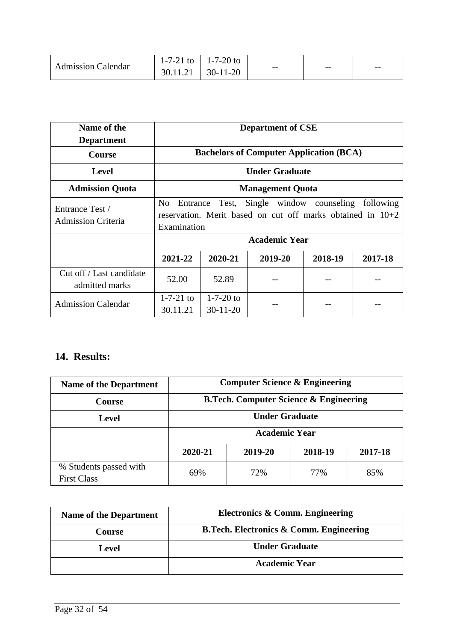|                           | 1-7-21 to   1-7-20 to   |       |       |       |
|---------------------------|-------------------------|-------|-------|-------|
| <b>Admission Calendar</b> | $30.11.21$   $30-11-20$ | $- -$ | $- -$ | $- -$ |

| Name of the<br><b>Department</b>             | <b>Department of CSE</b>                                                                                                                        |                               |                                                |         |         |
|----------------------------------------------|-------------------------------------------------------------------------------------------------------------------------------------------------|-------------------------------|------------------------------------------------|---------|---------|
| <b>Course</b>                                |                                                                                                                                                 |                               | <b>Bachelors of Computer Application (BCA)</b> |         |         |
| Level                                        |                                                                                                                                                 | <b>Under Graduate</b>         |                                                |         |         |
| <b>Admission Quota</b>                       | <b>Management Quota</b>                                                                                                                         |                               |                                                |         |         |
| Entrance Test /<br><b>Admission Criteria</b> | Single window counseling<br>No<br>Test,<br>following<br>Entrance<br>reservation. Merit based on cut off marks obtained in $10+2$<br>Examination |                               |                                                |         |         |
|                                              |                                                                                                                                                 |                               | <b>Academic Year</b>                           |         |         |
|                                              | 2021-22                                                                                                                                         | 2020-21                       | 2019-20                                        | 2018-19 | 2017-18 |
| Cut off / Last candidate<br>admitted marks   | 52.00                                                                                                                                           | 52.89                         |                                                |         |         |
| <b>Admission Calendar</b>                    | $1 - 7 - 21$ to<br>30.11.21                                                                                                                     | $1 - 7 - 20$ to<br>$30-11-20$ |                                                |         |         |

# **14. Results:**

| <b>Name of the Department</b>                | <b>Computer Science &amp; Engineering</b>         |     |     |     |  |
|----------------------------------------------|---------------------------------------------------|-----|-----|-----|--|
| <b>Course</b>                                | <b>B.Tech. Computer Science &amp; Engineering</b> |     |     |     |  |
| <b>Level</b>                                 | <b>Under Graduate</b>                             |     |     |     |  |
|                                              | <b>Academic Year</b>                              |     |     |     |  |
|                                              | 2019-20<br>2018-19<br>2017-18<br>2020-21          |     |     |     |  |
| % Students passed with<br><b>First Class</b> | 69%                                               | 72% | 77% | 85% |  |

| <b>Name of the Department</b> | Electronics & Comm. Engineering                    |
|-------------------------------|----------------------------------------------------|
| <b>Course</b>                 | <b>B.Tech. Electronics &amp; Comm. Engineering</b> |
| Level                         | <b>Under Graduate</b>                              |
|                               | <b>Academic Year</b>                               |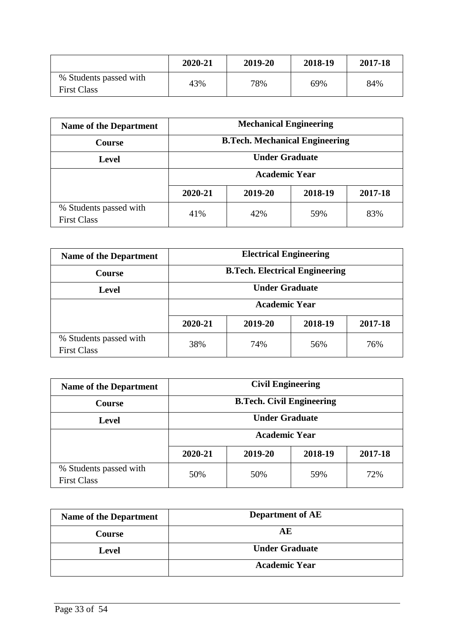|                                              | 2020-21 | 2019-20 | 2018-19 | 2017-18 |
|----------------------------------------------|---------|---------|---------|---------|
| % Students passed with<br><b>First Class</b> | 43%     | 78%     | 69%     | 84%     |

| <b>Name of the Department</b>                | <b>Mechanical Engineering</b>            |     |     |     |  |
|----------------------------------------------|------------------------------------------|-----|-----|-----|--|
| <b>Course</b>                                | <b>B.Tech. Mechanical Engineering</b>    |     |     |     |  |
| <b>Level</b>                                 | <b>Under Graduate</b>                    |     |     |     |  |
|                                              | <b>Academic Year</b>                     |     |     |     |  |
|                                              | 2019-20<br>2018-19<br>2020-21<br>2017-18 |     |     |     |  |
| % Students passed with<br><b>First Class</b> | 41%                                      | 42% | 59% | 83% |  |

| <b>Name of the Department</b>                | <b>Electrical Engineering</b>            |     |     |     |  |
|----------------------------------------------|------------------------------------------|-----|-----|-----|--|
| <b>Course</b>                                | <b>B.Tech. Electrical Engineering</b>    |     |     |     |  |
| <b>Level</b>                                 | <b>Under Graduate</b>                    |     |     |     |  |
|                                              | <b>Academic Year</b>                     |     |     |     |  |
|                                              | 2020-21<br>2019-20<br>2018-19<br>2017-18 |     |     |     |  |
| % Students passed with<br><b>First Class</b> | 38%                                      | 74% | 56% | 76% |  |

| <b>Name of the Department</b>                | <b>Civil Engineering</b>                 |     |     |     |  |
|----------------------------------------------|------------------------------------------|-----|-----|-----|--|
| <b>Course</b>                                | <b>B.Tech. Civil Engineering</b>         |     |     |     |  |
| <b>Level</b>                                 | <b>Under Graduate</b>                    |     |     |     |  |
|                                              | <b>Academic Year</b>                     |     |     |     |  |
|                                              | 2019-20<br>2020-21<br>2018-19<br>2017-18 |     |     |     |  |
| % Students passed with<br><b>First Class</b> | 50%                                      | 50% | 59% | 72% |  |

| <b>Name of the Department</b> | <b>Department of AE</b> |
|-------------------------------|-------------------------|
| <b>Course</b>                 | AЕ                      |
| <b>Level</b>                  | <b>Under Graduate</b>   |
|                               | <b>Academic Year</b>    |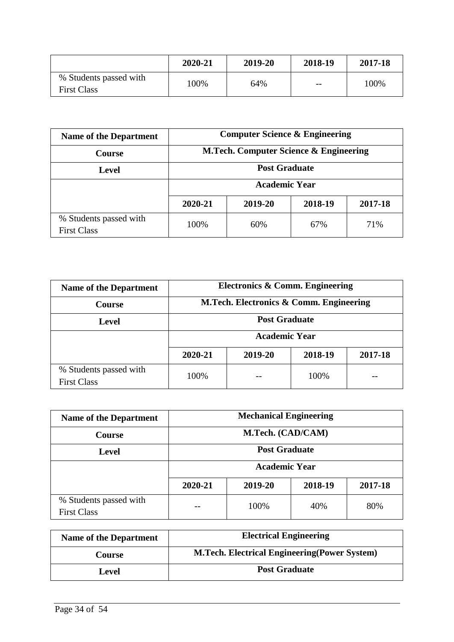|                                              | 2020-21 | 2019-20 | 2018-19                  | 2017-18 |
|----------------------------------------------|---------|---------|--------------------------|---------|
| % Students passed with<br><b>First Class</b> | 100%    | 64%     | $\overline{\phantom{m}}$ | 100%    |

| <b>Name of the Department</b>                | <b>Computer Science &amp; Engineering</b> |     |     |     |  |
|----------------------------------------------|-------------------------------------------|-----|-----|-----|--|
| <b>Course</b>                                | M.Tech. Computer Science & Engineering    |     |     |     |  |
| Level                                        | <b>Post Graduate</b>                      |     |     |     |  |
|                                              | <b>Academic Year</b>                      |     |     |     |  |
|                                              | 2018-19<br>2020-21<br>2019-20<br>2017-18  |     |     |     |  |
| % Students passed with<br><b>First Class</b> | 100%                                      | 60% | 67% | 71% |  |

| <b>Name of the Department</b>                | Electronics & Comm. Engineering          |  |  |  |  |
|----------------------------------------------|------------------------------------------|--|--|--|--|
| <b>Course</b>                                | M.Tech. Electronics & Comm. Engineering  |  |  |  |  |
| <b>Level</b>                                 | <b>Post Graduate</b>                     |  |  |  |  |
|                                              | <b>Academic Year</b>                     |  |  |  |  |
|                                              | 2019-20<br>2017-18<br>2020-21<br>2018-19 |  |  |  |  |
| % Students passed with<br><b>First Class</b> | 100%<br>100%                             |  |  |  |  |

| <b>Name of the Department</b>                | <b>Mechanical Engineering</b>            |  |  |  |  |
|----------------------------------------------|------------------------------------------|--|--|--|--|
| <b>Course</b>                                | M.Tech. (CAD/CAM)                        |  |  |  |  |
| Level                                        | <b>Post Graduate</b>                     |  |  |  |  |
|                                              | <b>Academic Year</b>                     |  |  |  |  |
|                                              | 2020-21<br>2019-20<br>2018-19<br>2017-18 |  |  |  |  |
| % Students passed with<br><b>First Class</b> | 100%<br>80%<br>40%                       |  |  |  |  |

| <b>Name of the Department</b> | <b>Electrical Engineering</b>                        |
|-------------------------------|------------------------------------------------------|
| Course                        | <b>M.Tech. Electrical Engineering (Power System)</b> |
| Level                         | <b>Post Graduate</b>                                 |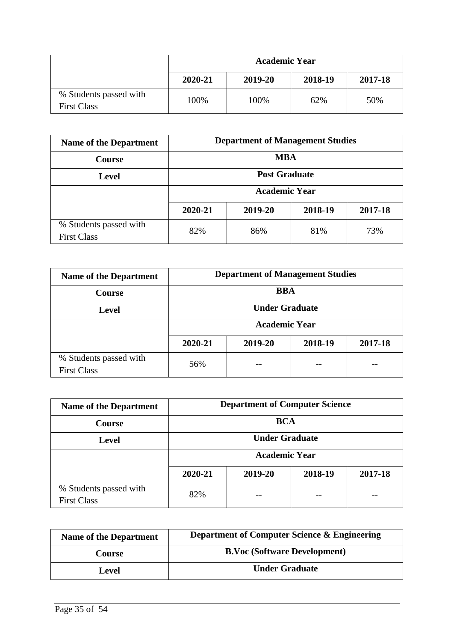|                                              | <b>Academic Year</b> |         |         |         |  |
|----------------------------------------------|----------------------|---------|---------|---------|--|
|                                              | 2020-21              | 2019-20 | 2018-19 | 2017-18 |  |
| % Students passed with<br><b>First Class</b> | 100%                 | 100%    | 62%     | 50%     |  |

| <b>Name of the Department</b>                | <b>Department of Management Studies</b>  |  |  |  |  |
|----------------------------------------------|------------------------------------------|--|--|--|--|
| <b>Course</b>                                | <b>MBA</b>                               |  |  |  |  |
| <b>Level</b>                                 | <b>Post Graduate</b>                     |  |  |  |  |
|                                              | <b>Academic Year</b>                     |  |  |  |  |
|                                              | 2020-21<br>2019-20<br>2018-19<br>2017-18 |  |  |  |  |
| % Students passed with<br><b>First Class</b> | 82%<br>73%<br>86%<br>81\%                |  |  |  |  |

| <b>Name of the Department</b>                | <b>Department of Management Studies</b>  |  |  |  |  |
|----------------------------------------------|------------------------------------------|--|--|--|--|
| <b>Course</b>                                | <b>BBA</b>                               |  |  |  |  |
| Level                                        | <b>Under Graduate</b>                    |  |  |  |  |
|                                              | <b>Academic Year</b>                     |  |  |  |  |
|                                              | 2019-20<br>2018-19<br>2017-18<br>2020-21 |  |  |  |  |
| % Students passed with<br><b>First Class</b> | 56%                                      |  |  |  |  |

| <b>Name of the Department</b>                | <b>Department of Computer Science</b>    |  |  |  |  |
|----------------------------------------------|------------------------------------------|--|--|--|--|
| <b>Course</b>                                | <b>BCA</b>                               |  |  |  |  |
| <b>Level</b>                                 | <b>Under Graduate</b>                    |  |  |  |  |
|                                              | <b>Academic Year</b>                     |  |  |  |  |
|                                              | 2020-21<br>2019-20<br>2018-19<br>2017-18 |  |  |  |  |
| % Students passed with<br><b>First Class</b> | 82%                                      |  |  |  |  |

| <b>Name of the Department</b> | <b>Department of Computer Science &amp; Engineering</b> |
|-------------------------------|---------------------------------------------------------|
| Course                        | <b>B.Voc (Software Development)</b>                     |
| Level                         | <b>Under Graduate</b>                                   |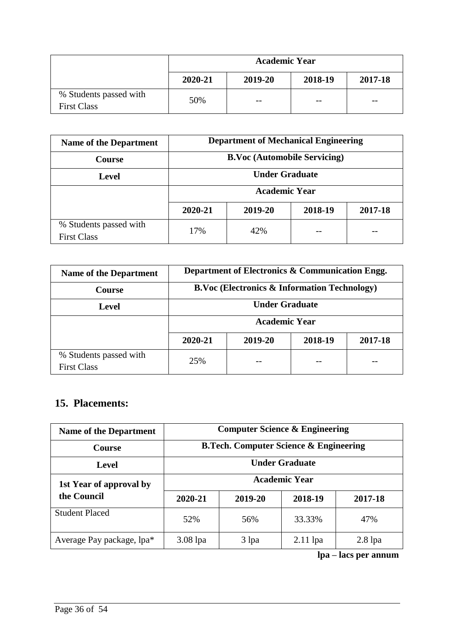|                                              | <b>Academic Year</b> |         |         |         |
|----------------------------------------------|----------------------|---------|---------|---------|
|                                              | 2020-21              | 2019-20 | 2018-19 | 2017-18 |
| % Students passed with<br><b>First Class</b> | 50%                  | $- -$   | $ -$    | $- -$   |

| <b>Name of the Department</b>                | <b>Department of Mechanical Engineering</b> |  |  |  |  |
|----------------------------------------------|---------------------------------------------|--|--|--|--|
| <b>Course</b>                                | <b>B.Voc (Automobile Servicing)</b>         |  |  |  |  |
| <b>Level</b>                                 | <b>Under Graduate</b>                       |  |  |  |  |
|                                              | <b>Academic Year</b>                        |  |  |  |  |
|                                              | 2020-21<br>2019-20<br>2018-19<br>2017-18    |  |  |  |  |
| % Students passed with<br><b>First Class</b> | 42%<br>17%                                  |  |  |  |  |

| <b>Name of the Department</b>                | Department of Electronics & Communication Engg.         |  |  |  |  |
|----------------------------------------------|---------------------------------------------------------|--|--|--|--|
| <b>Course</b>                                | <b>B.Voc (Electronics &amp; Information Technology)</b> |  |  |  |  |
| Level                                        | <b>Under Graduate</b>                                   |  |  |  |  |
|                                              | <b>Academic Year</b>                                    |  |  |  |  |
|                                              | 2019-20<br>2018-19<br>2020-21<br>2017-18                |  |  |  |  |
| % Students passed with<br><b>First Class</b> | 25%                                                     |  |  |  |  |

# **15. Placements:**

| <b>Name of the Department</b> | <b>Computer Science &amp; Engineering</b> |                                                   |            |           |  |  |
|-------------------------------|-------------------------------------------|---------------------------------------------------|------------|-----------|--|--|
| <b>Course</b>                 |                                           | <b>B.Tech. Computer Science &amp; Engineering</b> |            |           |  |  |
| Level                         | <b>Under Graduate</b>                     |                                                   |            |           |  |  |
| 1st Year of approval by       | <b>Academic Year</b>                      |                                                   |            |           |  |  |
| the Council                   | 2020-21                                   | 2019-20                                           | 2018-19    | 2017-18   |  |  |
| <b>Student Placed</b>         | 52%                                       | 56%                                               | 33.33%     | 47%       |  |  |
| Average Pay package, lpa*     | $3.08$ lpa                                | 3 lpa                                             | $2.11$ lpa | $2.8$ lpa |  |  |

**lpa – lacs per annum**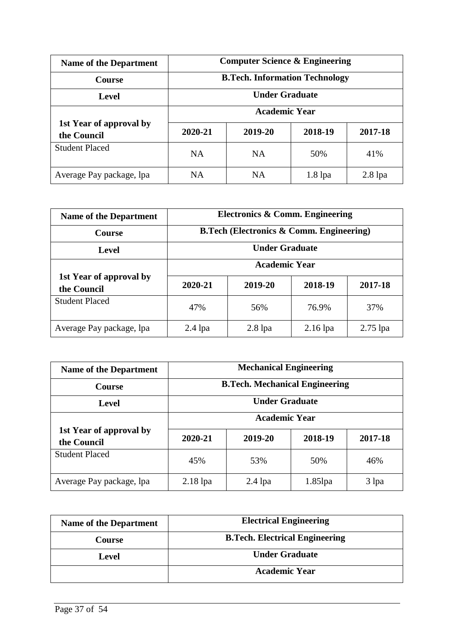| <b>Name of the Department</b>          | <b>Computer Science &amp; Engineering</b> |           |           |           |
|----------------------------------------|-------------------------------------------|-----------|-----------|-----------|
| <b>Course</b>                          | <b>B.Tech. Information Technology</b>     |           |           |           |
| Level                                  | <b>Under Graduate</b>                     |           |           |           |
|                                        | <b>Academic Year</b>                      |           |           |           |
| 1st Year of approval by<br>the Council | 2020-21                                   | 2019-20   | 2018-19   | 2017-18   |
| <b>Student Placed</b>                  | <b>NA</b>                                 | <b>NA</b> | 50%       | 41%       |
| Average Pay package, lpa               | NA                                        | <b>NA</b> | $1.8$ lpa | $2.8$ lpa |

| <b>Name of the Department</b>          | Electronics & Comm. Engineering                     |           |            |            |
|----------------------------------------|-----------------------------------------------------|-----------|------------|------------|
| <b>Course</b>                          | <b>B.Tech (Electronics &amp; Comm. Engineering)</b> |           |            |            |
| Level                                  | <b>Under Graduate</b>                               |           |            |            |
|                                        | <b>Academic Year</b>                                |           |            |            |
| 1st Year of approval by<br>the Council | 2020-21                                             | 2019-20   | 2018-19    | 2017-18    |
| <b>Student Placed</b>                  | 47%                                                 | 56%       | 76.9%      | 37%        |
| Average Pay package, lpa               | $2.4$ lpa                                           | $2.8$ lpa | $2.16$ lpa | $2.75$ lpa |

| <b>Name of the Department</b>          | <b>Mechanical Engineering</b>         |           |            |         |
|----------------------------------------|---------------------------------------|-----------|------------|---------|
| <b>Course</b>                          | <b>B.Tech. Mechanical Engineering</b> |           |            |         |
| <b>Level</b>                           | <b>Under Graduate</b>                 |           |            |         |
|                                        | <b>Academic Year</b>                  |           |            |         |
| 1st Year of approval by<br>the Council | 2020-21                               | 2019-20   | 2018-19    | 2017-18 |
| <b>Student Placed</b>                  | 45%                                   | 53%       | 50%        | 46%     |
| Average Pay package, Ipa               | $2.18$ lpa                            | $2.4$ lpa | $1.85$ lpa | 3 lpa   |

| <b>Name of the Department</b> | <b>Electrical Engineering</b>         |  |  |
|-------------------------------|---------------------------------------|--|--|
| <b>Course</b>                 | <b>B.Tech. Electrical Engineering</b> |  |  |
| Level                         | <b>Under Graduate</b>                 |  |  |
|                               | <b>Academic Year</b>                  |  |  |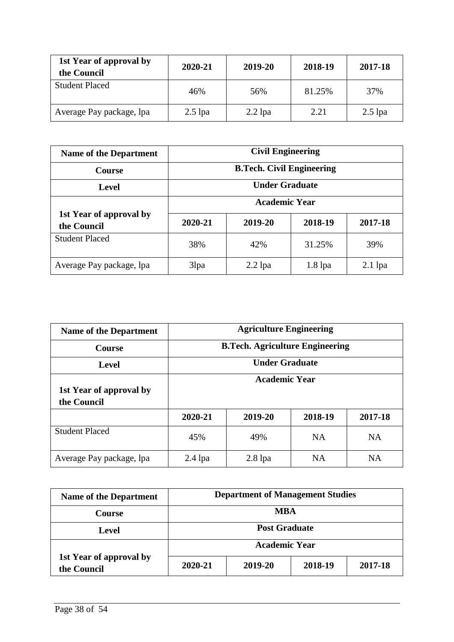| 1st Year of approval by<br>the Council | 2020-21   | 2019-20   | 2018-19 | 2017-18   |
|----------------------------------------|-----------|-----------|---------|-----------|
| <b>Student Placed</b>                  | 46%       | 56%       | 81.25%  | 37%       |
| Average Pay package, lpa               | $2.5$ lpa | $2.2$ lpa | 2.21    | $2.5$ lpa |

| <b>Name of the Department</b>          | <b>Civil Engineering</b>         |           |           |           |
|----------------------------------------|----------------------------------|-----------|-----------|-----------|
| <b>Course</b>                          | <b>B.Tech. Civil Engineering</b> |           |           |           |
| Level                                  | <b>Under Graduate</b>            |           |           |           |
|                                        | <b>Academic Year</b>             |           |           |           |
| 1st Year of approval by<br>the Council | 2020-21                          | 2019-20   | 2018-19   | 2017-18   |
| <b>Student Placed</b>                  | 38%                              | 42%       | 31.25%    | 39%       |
| Average Pay package, Ipa               | 3lpa                             | $2.2$ lpa | $1.8$ lpa | $2.1$ lpa |

| <b>Name of the Department</b>          | <b>Agriculture Engineering</b>         |           |           |           |
|----------------------------------------|----------------------------------------|-----------|-----------|-----------|
| <b>Course</b>                          | <b>B.Tech. Agriculture Engineering</b> |           |           |           |
| <b>Level</b>                           | <b>Under Graduate</b>                  |           |           |           |
| 1st Year of approval by<br>the Council | <b>Academic Year</b>                   |           |           |           |
|                                        | 2020-21                                | 2019-20   | 2018-19   | 2017-18   |
| <b>Student Placed</b>                  | 45%                                    | 49%       | <b>NA</b> | <b>NA</b> |
| Average Pay package, lpa               | $2.4$ lpa                              | $2.8$ lpa | <b>NA</b> | <b>NA</b> |

| <b>Name of the Department</b>          | <b>Department of Management Studies</b> |         |         |         |
|----------------------------------------|-----------------------------------------|---------|---------|---------|
| <b>Course</b>                          | <b>MBA</b>                              |         |         |         |
| Level                                  | <b>Post Graduate</b>                    |         |         |         |
|                                        | <b>Academic Year</b>                    |         |         |         |
| 1st Year of approval by<br>the Council | 2020-21                                 | 2019-20 | 2018-19 | 2017-18 |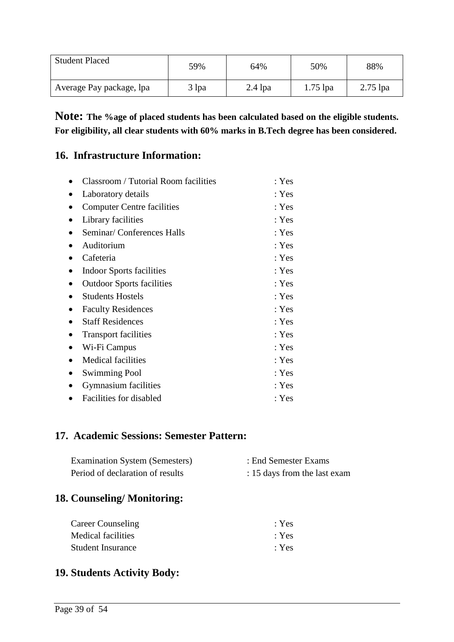| <b>Student Placed</b>    | 59%   | 64%       | 50%        | 88%        |
|--------------------------|-------|-----------|------------|------------|
| Average Pay package, lpa | 3 lpa | $2.4$ lpa | $1.75$ lpa | $2.75$ lpa |

**Note: The %age of placed students has been calculated based on the eligible students. For eligibility, all clear students with 60% marks in B.Tech degree has been considered.**

# **16. Infrastructure Information:**

|           | <b>Classroom / Tutorial Room facilities</b> | : Yes |
|-----------|---------------------------------------------|-------|
|           | Laboratory details                          | : Yes |
|           | <b>Computer Centre facilities</b>           | : Yes |
|           | Library facilities                          | : Yes |
| $\bullet$ | Seminar/Conferences Halls                   | : Yes |
|           | Auditorium                                  | : Yes |
|           | Cafeteria                                   | : Yes |
|           | Indoor Sports facilities                    | : Yes |
|           | <b>Outdoor Sports facilities</b>            | : Yes |
|           | <b>Students Hostels</b>                     | : Yes |
|           | <b>Faculty Residences</b>                   | : Yes |
|           | <b>Staff Residences</b>                     | : Yes |
|           | <b>Transport facilities</b>                 | : Yes |
| $\bullet$ | Wi-Fi Campus                                | : Yes |
|           | <b>Medical facilities</b>                   | : Yes |
|           | <b>Swimming Pool</b>                        | : Yes |
|           | <b>Gymnasium</b> facilities                 | : Yes |
|           | Facilities for disabled                     | : Yes |

# **17. Academic Sessions: Semester Pattern:**

| <b>Examination System (Semesters)</b> | : End Semester Exams         |
|---------------------------------------|------------------------------|
| Period of declaration of results      | : 15 days from the last exam |

# **18. Counseling/ Monitoring:**

| <b>Career Counseling</b> | $\cdot$ Yes |
|--------------------------|-------------|
| Medical facilities       | : Yes       |
| <b>Student Insurance</b> | $\cdot$ Yes |

# **19. Students Activity Body:**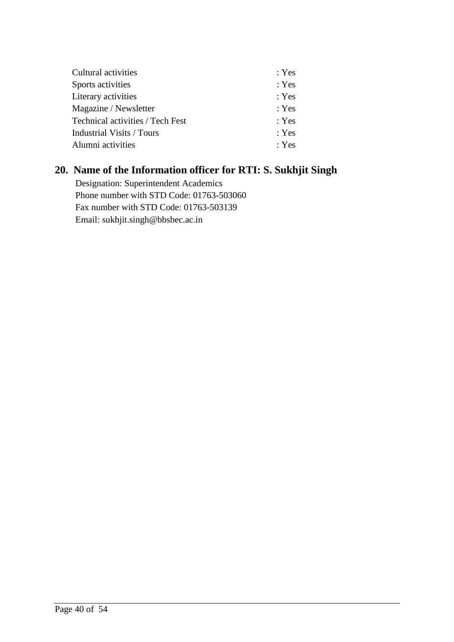| Cultural activities              | : Yes |
|----------------------------------|-------|
| Sports activities                | : Yes |
| Literary activities              | : Yes |
| Magazine / Newsletter            | : Yes |
| Technical activities / Tech Fest | : Yes |
| Industrial Visits / Tours        | : Yes |
| Alumni activities                | : Yes |

# **20. Name of the Information officer for RTI: S. Sukhjit Singh**

 Designation: Superintendent Academics Phone number with STD Code: 01763-503060 Fax number with STD Code: 01763-503139 Email: sukhjit.singh@bbsbec.ac.in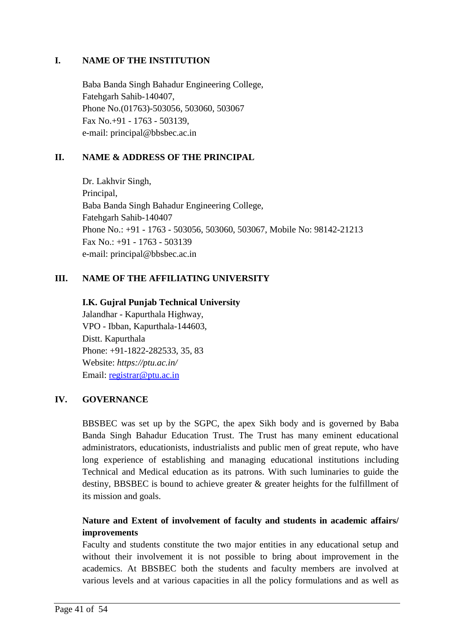### **I. NAME OF THE INSTITUTION**

Baba Banda Singh Bahadur Engineering College, Fatehgarh Sahib-140407, Phone No.(01763)-503056, 503060, 503067 Fax No.+91 - 1763 - 503139, e-mail: principal@bbsbec.ac.in

### **II. NAME & ADDRESS OF THE PRINCIPAL**

Dr. Lakhvir Singh, Principal, Baba Banda Singh Bahadur Engineering College, Fatehgarh Sahib-140407 Phone No.: +91 - 1763 - 503056, 503060, 503067, Mobile No: 98142-21213 Fax No.: +91 - 1763 - 503139 e-mail: principal@bbsbec.ac.in

### **III. NAME OF THE AFFILIATING UNIVERSITY**

#### **I.K. Gujral Punjab Technical University**

Jalandhar - Kapurthala Highway, VPO - Ibban, Kapurthala-144603, Distt. Kapurthala Phone: +91-1822-282533, 35, 83 Website: *https://ptu.ac.in/* Email: [registrar@ptu.ac.in](https://ptu.ac.in/registrar@ptu.ac.in)

#### **IV. GOVERNANCE**

BBSBEC was set up by the SGPC, the apex Sikh body and is governed by Baba Banda Singh Bahadur Education Trust. The Trust has many eminent educational administrators, educationists, industrialists and public men of great repute, who have long experience of establishing and managing educational institutions including Technical and Medical education as its patrons. With such luminaries to guide the destiny, BBSBEC is bound to achieve greater & greater heights for the fulfillment of its mission and goals.

## **Nature and Extent of involvement of faculty and students in academic affairs/ improvements**

Faculty and students constitute the two major entities in any educational setup and without their involvement it is not possible to bring about improvement in the academics. At BBSBEC both the students and faculty members are involved at various levels and at various capacities in all the policy formulations and as well as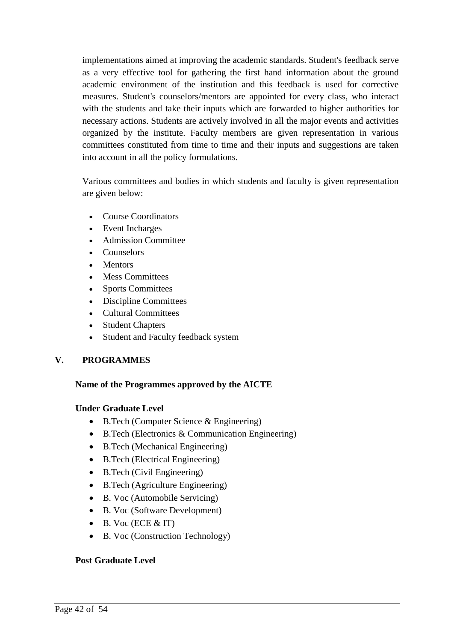implementations aimed at improving the academic standards. Student's feedback serve as a very effective tool for gathering the first hand information about the ground academic environment of the institution and this feedback is used for corrective measures. Student's counselors/mentors are appointed for every class, who interact with the students and take their inputs which are forwarded to higher authorities for necessary actions. Students are actively involved in all the major events and activities organized by the institute. Faculty members are given representation in various committees constituted from time to time and their inputs and suggestions are taken into account in all the policy formulations.

Various committees and bodies in which students and faculty is given representation are given below:

- Course Coordinators
- Event Incharges
- Admission Committee
- Counselors
- Mentors
- Mess Committees
- Sports Committees
- Discipline Committees
- Cultural Committees
- Student Chapters
- Student and Faculty feedback system

#### **V. PROGRAMMES**

#### **Name of the Programmes approved by the AICTE**

#### **Under Graduate Level**

- B.Tech (Computer Science & Engineering)
- B.Tech (Electronics & Communication Engineering)
- B.Tech (Mechanical Engineering)
- B.Tech (Electrical Engineering)
- B.Tech (Civil Engineering)
- B.Tech (Agriculture Engineering)
- B. Voc (Automobile Servicing)
- B. Voc (Software Development)
- $\bullet$  B. Voc (ECE & IT)
- B. Voc (Construction Technology)

#### **Post Graduate Level**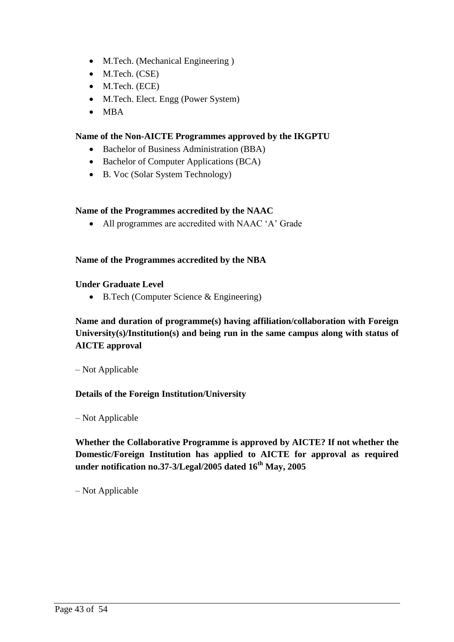- M.Tech. (Mechanical Engineering)
- M.Tech. (CSE)
- M.Tech. (ECE)
- M.Tech. Elect. Engg (Power System)
- $\bullet$  MBA

#### **Name of the Non-AICTE Programmes approved by the IKGPTU**

- Bachelor of Business Administration (BBA)
- Bachelor of Computer Applications (BCA)
- B. Voc (Solar System Technology)

#### **Name of the Programmes accredited by the NAAC**

All programmes are accredited with NAAC "A" Grade

#### **Name of the Programmes accredited by the NBA**

#### **Under Graduate Level**

B.Tech (Computer Science & Engineering)

## **Name and duration of programme(s) having affiliation/collaboration with Foreign University(s)/Institution(s) and being run in the same campus along with status of AICTE approval**

– Not Applicable

#### **Details of the Foreign Institution/University**

– Not Applicable

**Whether the Collaborative Programme is approved by AICTE? If not whether the Domestic/Foreign Institution has applied to AICTE for approval as required under notification no.37-3/Legal/2005 dated 16th May, 2005**

– Not Applicable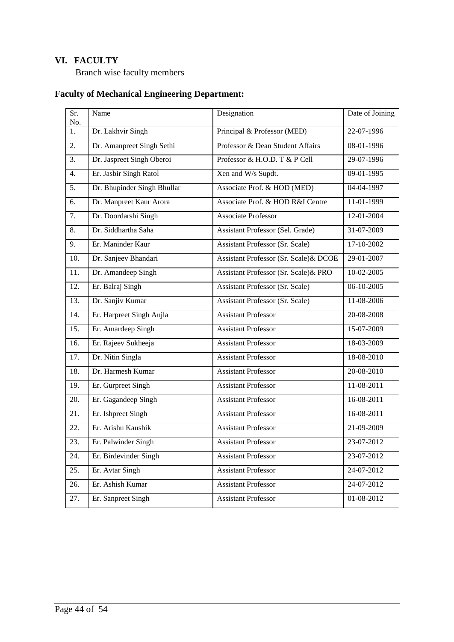# **VI. FACULTY**

Branch wise faculty members

# **Faculty of Mechanical Engineering Department:**

| Sr.<br>No.        | Name                        | Designation                            | Date of Joining |
|-------------------|-----------------------------|----------------------------------------|-----------------|
| $\overline{1}$ .  | Dr. Lakhvir Singh           | Principal & Professor (MED)            | 22-07-1996      |
| 2.                | Dr. Amanpreet Singh Sethi   | Professor & Dean Student Affairs       | 08-01-1996      |
| 3.                | Dr. Jaspreet Singh Oberoi   | Professor & H.O.D. T & P Cell          | 29-07-1996      |
| $\overline{4}$ .  | Er. Jasbir Singh Ratol      | Xen and W/s Supdt.                     | $09-01-1995$    |
| $\overline{5}$ .  | Dr. Bhupinder Singh Bhullar | Associate Prof. & HOD (MED)            | 04-04-1997      |
| 6.                | Dr. Manpreet Kaur Arora     | Associate Prof. & HOD R&I Centre       | 11-01-1999      |
| $\overline{7}$ .  | Dr. Doordarshi Singh        | <b>Associate Professor</b>             | 12-01-2004      |
| 8.                | Dr. Siddhartha Saha         | Assistant Professor (Sel. Grade)       | 31-07-2009      |
| 9.                | Er. Maninder Kaur           | <b>Assistant Professor (Sr. Scale)</b> | 17-10-2002      |
| 10.               | Dr. Sanjeev Bhandari        | Assistant Professor (Sr. Scale)& DCOE  | 29-01-2007      |
| 11.               | Dr. Amandeep Singh          | Assistant Professor (Sr. Scale) & PRO  | 10-02-2005      |
| $\overline{12}$ . | Er. Balraj Singh            | <b>Assistant Professor (Sr. Scale)</b> | $06-10-2005$    |
| $\overline{13}$ . | Dr. Sanjiv Kumar            | Assistant Professor (Sr. Scale)        | 11-08-2006      |
| 14.               | Er. Harpreet Singh Aujla    | <b>Assistant Professor</b>             | 20-08-2008      |
| 15.               | Er. Amardeep Singh          | <b>Assistant Professor</b>             | 15-07-2009      |
| 16.               | Er. Rajeev Sukheeja         | <b>Assistant Professor</b>             | 18-03-2009      |
| 17.               | Dr. Nitin Singla            | <b>Assistant Professor</b>             | 18-08-2010      |
| 18.               | Dr. Harmesh Kumar           | <b>Assistant Professor</b>             | 20-08-2010      |
| 19.               | Er. Gurpreet Singh          | <b>Assistant Professor</b>             | 11-08-2011      |
| 20.               | Er. Gagandeep Singh         | <b>Assistant Professor</b>             | 16-08-2011      |
| 21.               | Er. Ishpreet Singh          | <b>Assistant Professor</b>             | 16-08-2011      |
| 22.               | Er. Arishu Kaushik          | <b>Assistant Professor</b>             | 21-09-2009      |
| 23.               | Er. Palwinder Singh         | <b>Assistant Professor</b>             | 23-07-2012      |
| 24.               | Er. Birdevinder Singh       | <b>Assistant Professor</b>             | 23-07-2012      |
| 25.               | Er. Avtar Singh             | <b>Assistant Professor</b>             | 24-07-2012      |
| 26.               | Er. Ashish Kumar            | <b>Assistant Professor</b>             | 24-07-2012      |
| 27.               | Er. Sanpreet Singh          | <b>Assistant Professor</b>             | 01-08-2012      |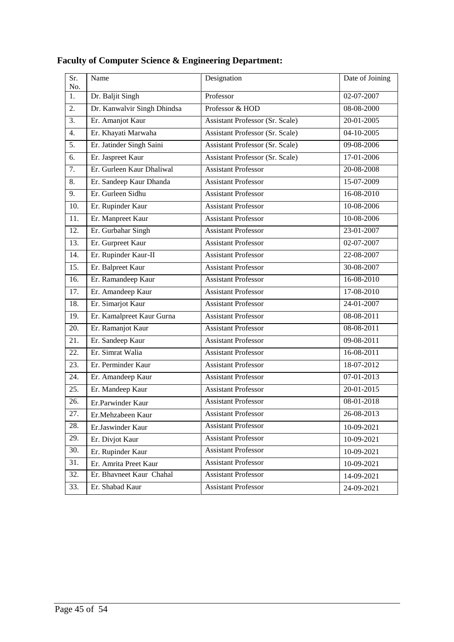| Sr.<br>No. | Name                        | Designation                     | Date of Joining  |
|------------|-----------------------------|---------------------------------|------------------|
| 1.         | Dr. Baljit Singh            | Professor                       | 02-07-2007       |
| 2.         | Dr. Kanwalvir Singh Dhindsa | Professor & HOD                 | 08-08-2000       |
| 3.         | Er. Amanjot Kaur            | Assistant Professor (Sr. Scale) | 20-01-2005       |
| 4.         | Er. Khayati Marwaha         | Assistant Professor (Sr. Scale) | 04-10-2005       |
| 5.         | Er. Jatinder Singh Saini    | Assistant Professor (Sr. Scale) | 09-08-2006       |
| 6.         | Er. Jaspreet Kaur           | Assistant Professor (Sr. Scale) | 17-01-2006       |
| 7.         | Er. Gurleen Kaur Dhaliwal   | <b>Assistant Professor</b>      | 20-08-2008       |
| 8.         | Er. Sandeep Kaur Dhanda     | <b>Assistant Professor</b>      | 15-07-2009       |
| 9.         | Er. Gurleen Sidhu           | <b>Assistant Professor</b>      | 16-08-2010       |
| 10.        | Er. Rupinder Kaur           | <b>Assistant Professor</b>      | 10-08-2006       |
| 11.        | Er. Manpreet Kaur           | <b>Assistant Professor</b>      | 10-08-2006       |
| 12.        | Er. Gurbahar Singh          | <b>Assistant Professor</b>      | 23-01-2007       |
| 13.        | Er. Gurpreet Kaur           | <b>Assistant Professor</b>      | 02-07-2007       |
| 14.        | Er. Rupinder Kaur-II        | <b>Assistant Professor</b>      | 22-08-2007       |
| 15.        | Er. Balpreet Kaur           | <b>Assistant Professor</b>      | 30-08-2007       |
| 16.        | Er. Ramandeep Kaur          | <b>Assistant Professor</b>      | 16-08-2010       |
| 17.        | Er. Amandeep Kaur           | <b>Assistant Professor</b>      | 17-08-2010       |
| 18.        | Er. Simarjot Kaur           | <b>Assistant Professor</b>      | 24-01-2007       |
| 19.        | Er. Kamalpreet Kaur Gurna   | <b>Assistant Professor</b>      | 08-08-2011       |
| 20.        | Er. Ramanjot Kaur           | <b>Assistant Professor</b>      | 08-08-2011       |
| 21.        | Er. Sandeep Kaur            | <b>Assistant Professor</b>      | 09-08-2011       |
| 22.        | Er. Simrat Walia            | <b>Assistant Professor</b>      | 16-08-2011       |
| 23.        | Er. Perminder Kaur          | <b>Assistant Professor</b>      | 18-07-2012       |
| 24.        | Er. Amandeep Kaur           | <b>Assistant Professor</b>      | 07-01-2013       |
| 25.        | Er. Mandeep Kaur            | <b>Assistant Professor</b>      | 20-01-2015       |
| 26.        | Er.Parwinder Kaur           | <b>Assistant Professor</b>      | 08-01-2018       |
| 27.        | Er.Mehzabeen Kaur           | <b>Assistant Professor</b>      | $26 - 08 - 2013$ |
| 28.        | Er.Jaswinder Kaur           | <b>Assistant Professor</b>      | 10-09-2021       |
| 29.        | Er. Divjot Kaur             | <b>Assistant Professor</b>      | 10-09-2021       |
| 30.        | Er. Rupinder Kaur           | <b>Assistant Professor</b>      | 10-09-2021       |
| 31.        | Er. Amrita Preet Kaur       | <b>Assistant Professor</b>      | 10-09-2021       |
| 32.        | Er. Bhavneet Kaur Chahal    | <b>Assistant Professor</b>      | 14-09-2021       |
| 33.        | Er. Shabad Kaur             | <b>Assistant Professor</b>      | 24-09-2021       |

# **Faculty of Computer Science & Engineering Department:**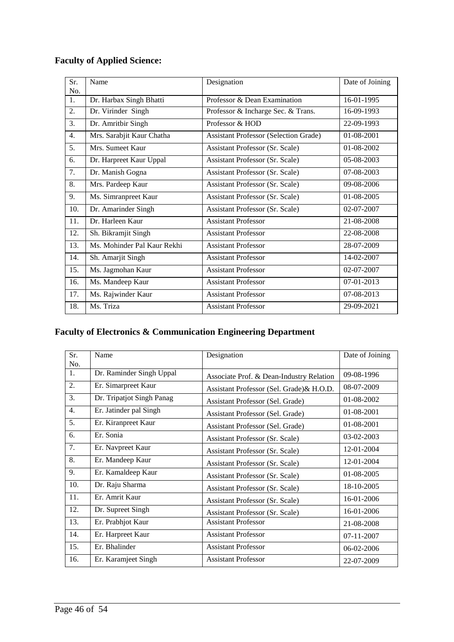# **Faculty of Applied Science:**

| Sr. | Name                        | Designation                                  | Date of Joining |
|-----|-----------------------------|----------------------------------------------|-----------------|
| No. |                             |                                              |                 |
| 1.  | Dr. Harbax Singh Bhatti     | Professor & Dean Examination                 | 16-01-1995      |
| 2.  | Dr. Virinder Singh          | Professor & Incharge Sec. & Trans.           | 16-09-1993      |
| 3.  | Dr. Amritbir Singh          | Professor & HOD                              | 22-09-1993      |
| 4.  | Mrs. Sarabjit Kaur Chatha   | <b>Assistant Professor (Selection Grade)</b> | 01-08-2001      |
| 5.  | Mrs. Sumeet Kaur            | Assistant Professor (Sr. Scale)              | 01-08-2002      |
| 6.  | Dr. Harpreet Kaur Uppal     | Assistant Professor (Sr. Scale)              | 05-08-2003      |
| 7.  | Dr. Manish Gogna            | Assistant Professor (Sr. Scale)              | 07-08-2003      |
| 8.  | Mrs. Pardeep Kaur           | Assistant Professor (Sr. Scale)              | 09-08-2006      |
| 9.  | Ms. Simranpreet Kaur        | Assistant Professor (Sr. Scale)              | $01-08-2005$    |
| 10. | Dr. Amarinder Singh         | Assistant Professor (Sr. Scale)              | 02-07-2007      |
| 11. | Dr. Harleen Kaur            | <b>Assistant Professor</b>                   | 21-08-2008      |
| 12. | Sh. Bikramjit Singh         | <b>Assistant Professor</b>                   | 22-08-2008      |
| 13. | Ms. Mohinder Pal Kaur Rekhi | <b>Assistant Professor</b>                   | 28-07-2009      |
| 14. | Sh. Amarjit Singh           | <b>Assistant Professor</b>                   | 14-02-2007      |
| 15. | Ms. Jagmohan Kaur           | <b>Assistant Professor</b>                   | 02-07-2007      |
| 16. | Ms. Mandeep Kaur            | <b>Assistant Professor</b>                   | 07-01-2013      |
| 17. | Ms. Rajwinder Kaur          | <b>Assistant Professor</b>                   | 07-08-2013      |
| 18. | Ms. Triza                   | <b>Assistant Professor</b>                   | 29-09-2021      |

# **Faculty of Electronics & Communication Engineering Department**

| Sr. | Name                      | Designation                               | Date of Joining |
|-----|---------------------------|-------------------------------------------|-----------------|
| No. |                           |                                           |                 |
| 1.  | Dr. Raminder Singh Uppal  | Associate Prof. & Dean-Industry Relation  | 09-08-1996      |
| 2.  | Er. Simarpreet Kaur       | Assistant Professor (Sel. Grade) & H.O.D. | 08-07-2009      |
| 3.  | Dr. Tripatjot Singh Panag | Assistant Professor (Sel. Grade)          | 01-08-2002      |
| 4.  | Er. Jatinder pal Singh    | Assistant Professor (Sel. Grade)          | 01-08-2001      |
| 5.  | Er. Kiranpreet Kaur       | Assistant Professor (Sel. Grade)          | 01-08-2001      |
| 6.  | Er. Sonia                 | Assistant Professor (Sr. Scale)           | 03-02-2003      |
| 7.  | Er. Navpreet Kaur         | Assistant Professor (Sr. Scale)           | 12-01-2004      |
| 8.  | Er. Mandeep Kaur          | Assistant Professor (Sr. Scale)           | 12-01-2004      |
| 9.  | Er. Kamaldeep Kaur        | Assistant Professor (Sr. Scale)           | 01-08-2005      |
| 10. | Dr. Raju Sharma           | Assistant Professor (Sr. Scale)           | 18-10-2005      |
| 11. | Er. Amrit Kaur            | Assistant Professor (Sr. Scale)           | 16-01-2006      |
| 12. | Dr. Supreet Singh         | Assistant Professor (Sr. Scale)           | 16-01-2006      |
| 13. | Er. Prabhjot Kaur         | <b>Assistant Professor</b>                | 21-08-2008      |
| 14. | Er. Harpreet Kaur         | <b>Assistant Professor</b>                | 07-11-2007      |
| 15. | Er. Bhalinder             | <b>Assistant Professor</b>                | 06-02-2006      |
| 16. | Er. Karamjeet Singh       | <b>Assistant Professor</b>                | 22-07-2009      |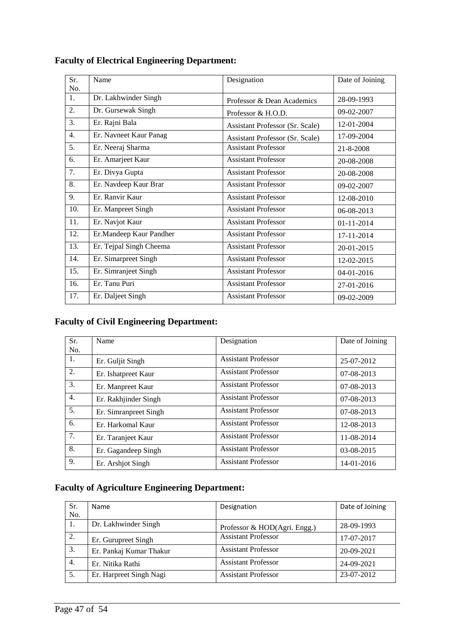| <b>Faculty of Electrical Engineering Department:</b> |  |
|------------------------------------------------------|--|
|                                                      |  |

| Sr. | Name                    | Designation                     | Date of Joining |
|-----|-------------------------|---------------------------------|-----------------|
| No. |                         |                                 |                 |
| 1.  | Dr. Lakhwinder Singh    | Professor & Dean Academics      | 28-09-1993      |
| 2.  | Dr. Gursewak Singh      | Professor & H.O.D.              | 09-02-2007      |
| 3.  | Er. Rajni Bala          | Assistant Professor (Sr. Scale) | 12-01-2004      |
| 4.  | Er. Navneet Kaur Panag  | Assistant Professor (Sr. Scale) | 17-09-2004      |
| 5.  | Er. Neeraj Sharma       | <b>Assistant Professor</b>      | 21-8-2008       |
| 6.  | Er. Amarjeet Kaur       | <b>Assistant Professor</b>      | 20-08-2008      |
| 7.  | Er. Divya Gupta         | <b>Assistant Professor</b>      | 20-08-2008      |
| 8.  | Er. Navdeep Kaur Brar   | <b>Assistant Professor</b>      | 09-02-2007      |
| 9.  | Er. Ranvir Kaur         | <b>Assistant Professor</b>      | 12-08-2010      |
| 10. | Er. Manpreet Singh      | <b>Assistant Professor</b>      | 06-08-2013      |
| 11. | Er. Navjot Kaur         | <b>Assistant Professor</b>      | 01-11-2014      |
| 12. | Er.Mandeep Kaur Pandher | <b>Assistant Professor</b>      | 17-11-2014      |
| 13. | Er. Tejpal Singh Cheema | <b>Assistant Professor</b>      | 20-01-2015      |
| 14. | Er. Simarpreet Singh    | <b>Assistant Professor</b>      | 12-02-2015      |
| 15. | Er. Simranjeet Singh    | <b>Assistant Professor</b>      | 04-01-2016      |
| 16. | Er. Tanu Puri           | <b>Assistant Professor</b>      | 27-01-2016      |
| 17. | Er. Daljeet Singh       | <b>Assistant Professor</b>      | 09-02-2009      |

# **Faculty of Civil Engineering Department:**

| Sr. | Name                  | Designation                | Date of Joining |
|-----|-----------------------|----------------------------|-----------------|
| No. |                       |                            |                 |
| -1. | Er. Guljit Singh      | <b>Assistant Professor</b> | 25-07-2012      |
| 2.  | Er. Ishatpreet Kaur   | <b>Assistant Professor</b> | 07-08-2013      |
| 3.  | Er. Manpreet Kaur     | <b>Assistant Professor</b> | $07-08-2013$    |
| 4.  | Er. Rakhjinder Singh  | <b>Assistant Professor</b> | $07-08-2013$    |
| 5.  | Er. Simranpreet Singh | <b>Assistant Professor</b> | 07-08-2013      |
| 6.  | Er. Harkomal Kaur     | <b>Assistant Professor</b> | 12-08-2013      |
| 7.  | Er. Taranjeet Kaur    | <b>Assistant Professor</b> | 11-08-2014      |
| 8.  | Er. Gagandeep Singh   | <b>Assistant Professor</b> | 03-08-2015      |
| 9.  | Er. Arshjot Singh     | <b>Assistant Professor</b> | 14-01-2016      |

# **Faculty of Agriculture Engineering Department:**

| Sr. | <b>Name</b>             | Designation                  | Date of Joining |
|-----|-------------------------|------------------------------|-----------------|
| No. |                         |                              |                 |
| 1.  | Dr. Lakhwinder Singh    | Professor & HOD(Agri. Engg.) | 28-09-1993      |
| 2.  | Er. Gurupreet Singh     | <b>Assistant Professor</b>   | 17-07-2017      |
| 3.  | Er. Pankaj Kumar Thakur | <b>Assistant Professor</b>   | 20-09-2021      |
| 4.  | Er. Nitika Rathi        | <b>Assistant Professor</b>   | 24-09-2021      |
| 5.  | Er. Harpreet Singh Nagi | <b>Assistant Professor</b>   | 23-07-2012      |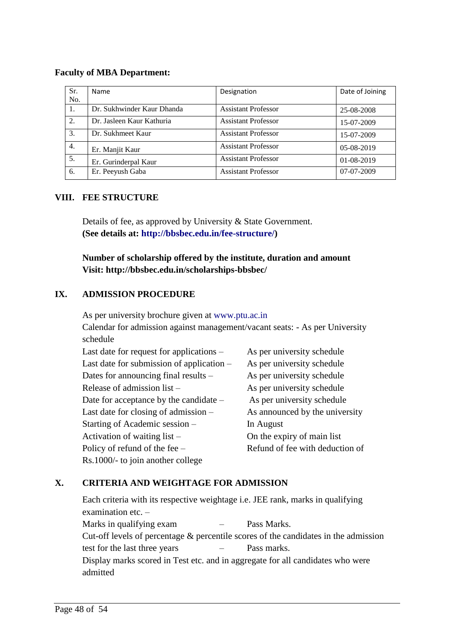#### **Faculty of MBA Department:**

| Sr. | <b>Name</b>                | Designation                | Date of Joining |
|-----|----------------------------|----------------------------|-----------------|
| No. |                            |                            |                 |
| 1.  | Dr. Sukhwinder Kaur Dhanda | <b>Assistant Professor</b> | 25-08-2008      |
| 2.  | Dr. Jasleen Kaur Kathuria  | <b>Assistant Professor</b> | 15-07-2009      |
| 3.  | Dr. Sukhmeet Kaur          | <b>Assistant Professor</b> | 15-07-2009      |
| 4.  | Er. Manjit Kaur            | <b>Assistant Professor</b> | $05-08-2019$    |
| 5.  | Er. Gurinderpal Kaur       | <b>Assistant Professor</b> | 01-08-2019      |
| 6.  | Er. Peeyush Gaba           | <b>Assistant Professor</b> | 07-07-2009      |

#### **VIII. FEE STRUCTURE**

Details of fee, as approved by University & State Government. **(See details at: http://bbsbec.edu.in/fee-structure/)**

**Number of scholarship offered by the institute, duration and amount Visit: http://bbsbec.edu.in/scholarships-bbsbec/**

### **IX. ADMISSION PROCEDURE**

As per university brochure given at www.ptu.ac.in Calendar for admission against management/vacant seats: - As per University schedule

| Last date for request for applications –    | As per university schedule      |
|---------------------------------------------|---------------------------------|
| Last date for submission of application $-$ | As per university schedule      |
| Dates for announcing final results -        | As per university schedule      |
| Release of admission list -                 | As per university schedule      |
| Date for acceptance by the candidate -      | As per university schedule      |
| Last date for closing of admission –        | As announced by the university  |
| Starting of Academic session –              | In August                       |
| Activation of waiting list $-$              | On the expiry of main list      |
| Policy of refund of the fee $-$             | Refund of fee with deduction of |
| Rs.1000/- to join another college           |                                 |

#### **X. CRITERIA AND WEIGHTAGE FOR ADMISSION**

Each criteria with its respective weightage i.e. JEE rank, marks in qualifying examination etc. – Marks in qualifying exam – Pass Marks. Cut-off levels of percentage & percentile scores of the candidates in the admission test for the last three years – Pass marks. Display marks scored in Test etc. and in aggregate for all candidates who were admitted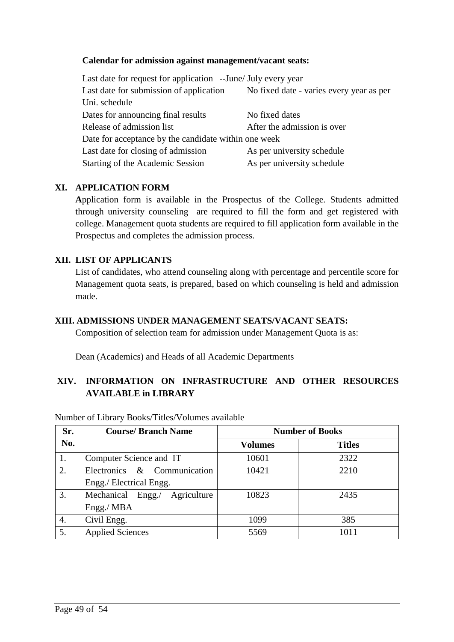#### **Calendar for admission against management/vacant seats:**

| Last date for request for application --June/ July every year |                                          |  |
|---------------------------------------------------------------|------------------------------------------|--|
| Last date for submission of application                       | No fixed date - varies every year as per |  |
| Uni. schedule                                                 |                                          |  |
| Dates for announcing final results                            | No fixed dates                           |  |
| Release of admission list                                     | After the admission is over              |  |
| Date for acceptance by the candidate within one week          |                                          |  |
| Last date for closing of admission                            | As per university schedule               |  |
| Starting of the Academic Session                              | As per university schedule               |  |

#### **XI. APPLICATION FORM**

**A**pplication form is available in the Prospectus of the College. Students admitted through university counseling are required to fill the form and get registered with college. Management quota students are required to fill application form available in the Prospectus and completes the admission process.

#### **XII. LIST OF APPLICANTS**

List of candidates, who attend counseling along with percentage and percentile score for Management quota seats, is prepared, based on which counseling is held and admission made.

#### **XIII. ADMISSIONS UNDER MANAGEMENT SEATS/VACANT SEATS:**

Composition of selection team for admission under Management Quota is as:

Dean (Academics) and Heads of all Academic Departments

## **XIV. INFORMATION ON INFRASTRUCTURE AND OTHER RESOURCES AVAILABLE in LIBRARY**

| Sr. | <b>Course/Branch Name</b>        | <b>Number of Books</b> |               |
|-----|----------------------------------|------------------------|---------------|
| No. |                                  | <b>Volumes</b>         | <b>Titles</b> |
| 1.  | Computer Science and IT          | 10601                  | 2322          |
| 2.  | Electronics & Communication      | 10421                  | 2210          |
|     | Engg./ Electrical Engg.          |                        |               |
| 3.  | Engg./ Agriculture<br>Mechanical | 10823                  | 2435          |
|     | Engg./MBA                        |                        |               |
| 4.  | Civil Engg.                      | 1099                   | 385           |
| 5.  | <b>Applied Sciences</b>          | 5569                   | 1011          |

Number of Library Books/Titles/Volumes available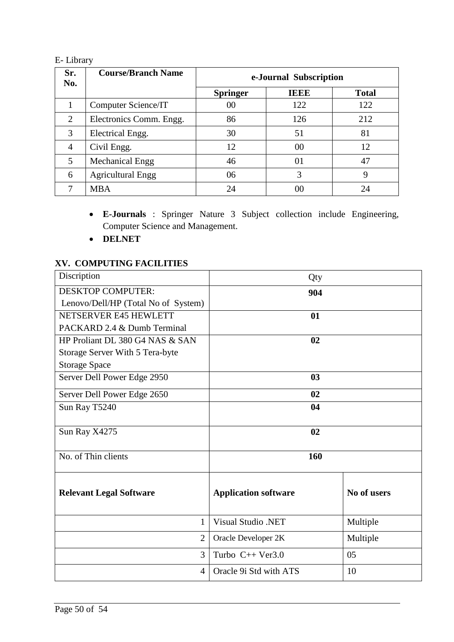## E- Library

| Sr.<br>No.     | <b>Course/Branch Name</b> | e-Journal Subscription |             |              |
|----------------|---------------------------|------------------------|-------------|--------------|
|                |                           | <b>Springer</b>        | <b>IEEE</b> | <b>Total</b> |
|                | Computer Science/IT       | 00                     | 122         | 122          |
| $\overline{2}$ | Electronics Comm. Engg.   | 86                     | 126         | 212          |
| 3              | Electrical Engg.          | 30                     | 51          | 81           |
| $\overline{4}$ | Civil Engg.               | 12                     | 00          | 12           |
| 5              | <b>Mechanical Engg</b>    | 46                     | 01          | 47           |
| 6              | <b>Agricultural Engg</b>  | 06                     | 3           | 9            |
| 7              | <b>MBA</b>                | 24                     | 00          | 24           |

- **E-Journals** : Springer Nature 3 Subject collection include Engineering, Computer Science and Management.
- **DELNET**

## **XV. COMPUTING FACILITIES**

| Discription                         | Qty                         |             |
|-------------------------------------|-----------------------------|-------------|
| <b>DESKTOP COMPUTER:</b>            | 904                         |             |
| Lenovo/Dell/HP (Total No of System) |                             |             |
| NETSERVER E45 HEWLETT               | 01                          |             |
| PACKARD 2.4 & Dumb Terminal         |                             |             |
| HP Proliant DL 380 G4 NAS & SAN     | 02                          |             |
| Storage Server With 5 Tera-byte     |                             |             |
| <b>Storage Space</b>                |                             |             |
| Server Dell Power Edge 2950         | 03                          |             |
| Server Dell Power Edge 2650         | 02                          |             |
| Sun Ray T5240                       | 04                          |             |
| Sun Ray X4275                       | 02                          |             |
| No. of Thin clients                 | 160                         |             |
| <b>Relevant Legal Software</b>      | <b>Application software</b> | No of users |
| 1                                   | <b>Visual Studio .NET</b>   | Multiple    |
| $\overline{2}$                      | Oracle Developer 2K         | Multiple    |
| 3                                   | Turbo $C++$ Ver3.0          | 05          |
| 4                                   | Oracle 9i Std with ATS      | 10          |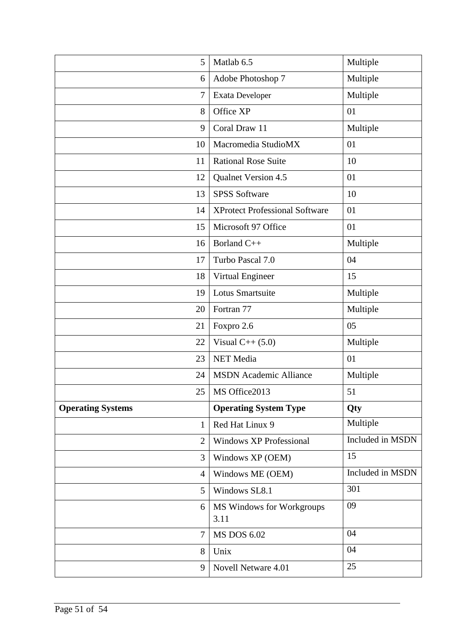| 5                        | Matlab 6.5                            | Multiple         |
|--------------------------|---------------------------------------|------------------|
| 6                        | Adobe Photoshop 7                     | Multiple         |
| $\tau$                   | Exata Developer                       | Multiple         |
| 8                        | Office XP                             | 01               |
| 9                        | Coral Draw 11                         | Multiple         |
| 10                       | Macromedia StudioMX                   | 01               |
| 11                       | <b>Rational Rose Suite</b>            | 10               |
| 12                       | Qualnet Version 4.5                   | 01               |
| 13                       | <b>SPSS Software</b>                  | 10               |
| 14                       | <b>XProtect Professional Software</b> | 01               |
| 15                       | Microsoft 97 Office                   | 01               |
| 16                       | Borland C++                           | Multiple         |
| 17                       | Turbo Pascal 7.0                      | 04               |
| 18                       | Virtual Engineer                      | 15               |
| 19                       | Lotus Smartsuite                      | Multiple         |
| 20                       | Fortran 77                            | Multiple         |
| 21                       | Foxpro 2.6                            | 05               |
| 22                       | Visual $C++ (5.0)$                    | Multiple         |
| 23                       | <b>NET</b> Media                      | 01               |
| 24                       | <b>MSDN</b> Academic Alliance         | Multiple         |
| 25                       | MS Office2013                         | 51               |
| <b>Operating Systems</b> | <b>Operating System Type</b>          | Qty              |
| $\mathbf{1}$             | Red Hat Linux 9                       | Multiple         |
| $\overline{2}$           | <b>Windows XP Professional</b>        | Included in MSDN |
| 3                        | Windows XP (OEM)                      | 15               |
| $\overline{4}$           | Windows ME (OEM)                      | Included in MSDN |
| 5                        | Windows SL8.1                         | 301              |
| 6                        | MS Windows for Workgroups             | 09               |
|                          | 3.11                                  |                  |
| $\overline{7}$           | <b>MS DOS 6.02</b>                    | 04               |
| 8                        | Unix                                  | 04               |
| 9                        |                                       | 25               |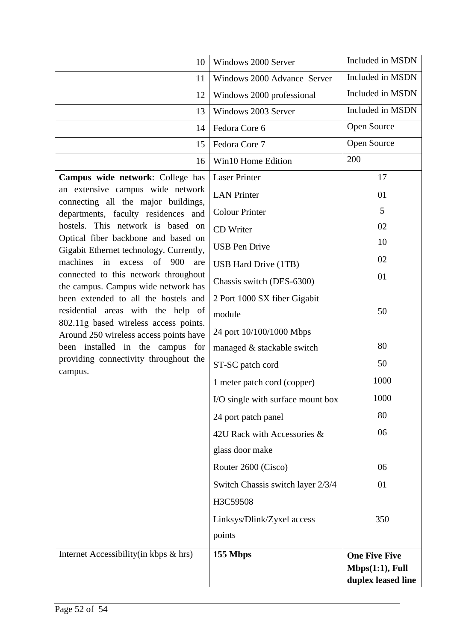| 10                                                                              | Windows 2000 Server               | Included in MSDN                                              |
|---------------------------------------------------------------------------------|-----------------------------------|---------------------------------------------------------------|
| 11                                                                              | Windows 2000 Advance Server       | Included in MSDN                                              |
| 12                                                                              | Windows 2000 professional         | Included in MSDN                                              |
| 13                                                                              | Windows 2003 Server               | Included in MSDN                                              |
| 14                                                                              | Fedora Core 6                     | Open Source                                                   |
| 15                                                                              | Fedora Core 7                     | Open Source                                                   |
| 16                                                                              | Win10 Home Edition                | 200                                                           |
| Campus wide network: College has                                                | <b>Laser Printer</b>              | 17                                                            |
| an extensive campus wide network<br>connecting all the major buildings,         | <b>LAN</b> Printer                | 01                                                            |
| departments, faculty residences and                                             | <b>Colour Printer</b>             | 5                                                             |
| hostels. This network is based on                                               | CD Writer                         | 02                                                            |
| Optical fiber backbone and based on<br>Gigabit Ethernet technology. Currently,  | <b>USB</b> Pen Drive              | 10                                                            |
| machines in<br>excess of 900<br>are                                             | USB Hard Drive (1TB)              | 02                                                            |
| connected to this network throughout<br>the campus. Campus wide network has     | Chassis switch (DES-6300)         | 01                                                            |
| been extended to all the hostels and                                            | 2 Port 1000 SX fiber Gigabit      |                                                               |
| residential areas with the help of                                              | module                            | 50                                                            |
| 802.11g based wireless access points.<br>Around 250 wireless access points have | 24 port 10/100/1000 Mbps          |                                                               |
| been installed in the campus for                                                | managed & stackable switch        | 80                                                            |
| providing connectivity throughout the<br>campus.                                | ST-SC patch cord                  | 50                                                            |
|                                                                                 | 1 meter patch cord (copper)       | 1000                                                          |
|                                                                                 | I/O single with surface mount box | 1000                                                          |
|                                                                                 | 24 port patch panel               | 80                                                            |
|                                                                                 | 42U Rack with Accessories &       | 06                                                            |
|                                                                                 | glass door make                   |                                                               |
|                                                                                 | Router 2600 (Cisco)               | 06                                                            |
|                                                                                 | Switch Chassis switch layer 2/3/4 | 01                                                            |
|                                                                                 | H3C59508                          |                                                               |
|                                                                                 | Linksys/Dlink/Zyxel access        | 350                                                           |
|                                                                                 | points                            |                                                               |
| Internet Accessibility(in kbps & hrs)                                           | 155 Mbps                          | <b>One Five Five</b><br>Mbps(1:1), Full<br>duplex leased line |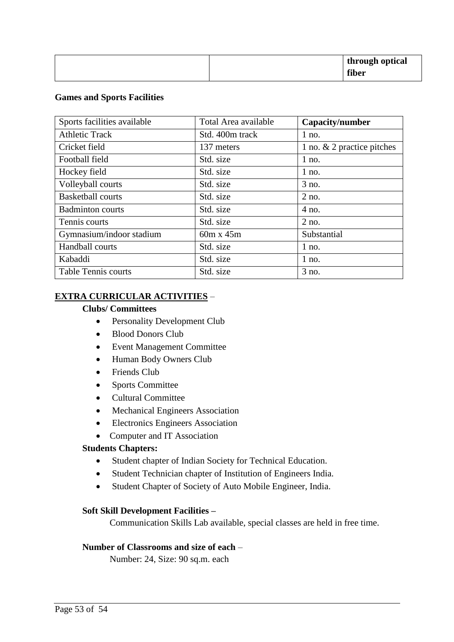|  | through optical |
|--|-----------------|
|  | fiber           |

#### **Games and Sports Facilities**

| Sports facilities available | Total Area available | Capacity/number              |
|-----------------------------|----------------------|------------------------------|
| <b>Athletic Track</b>       | Std. 400m track      | $1$ no.                      |
| Cricket field               | 137 meters           | 1 no. $& 2$ practice pitches |
| Football field              | Std. size            | $1$ no.                      |
| Hockey field                | Std. size            | $1$ no.                      |
| Volleyball courts           | Std. size            | 3 no.                        |
| <b>Basketball courts</b>    | Std. size            | $2$ no.                      |
| <b>Badminton courts</b>     | Std. size            | $4$ no.                      |
| Tennis courts               | Std. size            | $2$ no.                      |
| Gymnasium/indoor stadium    | $60m \times 45m$     | Substantial                  |
| Handball courts             | Std. size            | $1$ no.                      |
| Kabaddi                     | Std. size            | $1$ no.                      |
| <b>Table Tennis courts</b>  | Std. size            | 3 no.                        |

#### **EXTRA CURRICULAR ACTIVITIES** –

#### **Clubs/ Committees**

- Personality Development Club
- Blood Donors Club
- Event Management Committee
- Human Body Owners Club
- Friends Club
- Sports Committee
- Cultural Committee
- Mechanical Engineers Association
- Electronics Engineers Association
- Computer and IT Association

#### **Students Chapters:**

- Student chapter of Indian Society for Technical Education.
- Student Technician chapter of Institution of Engineers India.
- Student Chapter of Society of Auto Mobile Engineer, India.

#### **Soft Skill Development Facilities –**

Communication Skills Lab available, special classes are held in free time.

#### **Number of Classrooms and size of each** –

Number: 24, Size: 90 sq.m. each